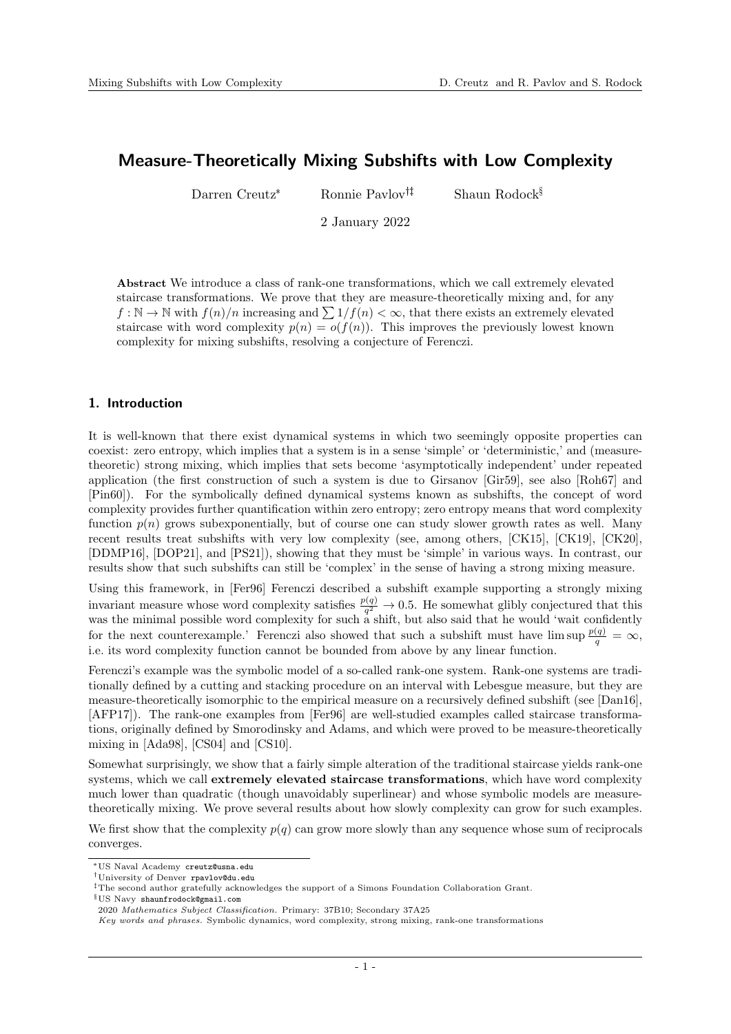# Measure-Theoretically Mixing Subshifts with Low Complexity

Darren Creutz<sup>\*</sup> Ronnie Pavlov<sup>†‡</sup> Shaun Rodock<sup>§</sup>

2 January 2022

Abstract We introduce a class of rank-one transformations, which we call extremely elevated staircase transformations. We prove that they are measure-theoretically mixing and, for any  $f: \mathbb{N} \to \mathbb{N}$  with  $f(n)/n$  increasing and  $\sum 1/f(n) < \infty$ , that there exists an extremely elevated staircase with word complexity  $p(n) = o(f(n))$ . This improves the previously lowest known complexity for mixing subshifts, resolving a conjecture of Ferenczi.

## 1. Introduction

It is well-known that there exist dynamical systems in which two seemingly opposite properties can coexist: zero entropy, which implies that a system is in a sense 'simple' or 'deterministic,' and (measuretheoretic) strong mixing, which implies that sets become 'asymptotically independent' under repeated application (the first construction of such a system is due to Girsanov [\[Gir59\]](#page-17-0), see also [\[Roh67\]](#page-17-1) and [\[Pin60\]](#page-17-2)). For the symbolically defined dynamical systems known as subshifts, the concept of word complexity provides further quantification within zero entropy; zero entropy means that word complexity function  $p(n)$  grows subexponentially, but of course one can study slower growth rates as well. Many recent results treat subshifts with very low complexity (see, among others, [\[CK15\]](#page-17-3), [\[CK19\]](#page-17-4), [\[CK20\]](#page-17-5), [\[DDMP16\]](#page-17-6), [\[DOP21\]](#page-17-7), and [\[PS21\]](#page-17-8)), showing that they must be 'simple' in various ways. In contrast, our results show that such subshifts can still be 'complex' in the sense of having a strong mixing measure.

Using this framework, in [\[Fer96\]](#page-17-9) Ferenczi described a subshift example supporting a strongly mixing invariant measure whose word complexity satisfies  $\frac{p(q)}{q^2} \to 0.5$ . He somewhat glibly conjectured that this was the minimal possible word complexity for such a shift, but also said that he would 'wait confidently for the next counterexample.' Ferenczi also showed that such a subshift must have  $\limsup \frac{p(q)}{q} = \infty$ , i.e. its word complexity function cannot be bounded from above by any linear function.

Ferenczi's example was the symbolic model of a so-called rank-one system. Rank-one systems are traditionally defined by a cutting and stacking procedure on an interval with Lebesgue measure, but they are measure-theoretically isomorphic to the empirical measure on a recursively defined subshift (see [\[Dan16\]](#page-17-10), [\[AFP17\]](#page-17-11)). The rank-one examples from [\[Fer96\]](#page-17-9) are well-studied examples called staircase transformations, originally defined by Smorodinsky and Adams, and which were proved to be measure-theoretically mixing in [\[Ada98\]](#page-16-0), [\[CS04\]](#page-17-12) and [\[CS10\]](#page-17-13).

Somewhat surprisingly, we show that a fairly simple alteration of the traditional staircase yields rank-one systems, which we call extremely elevated staircase transformations, which have word complexity much lower than quadratic (though unavoidably superlinear) and whose symbolic models are measuretheoretically mixing. We prove several results about how slowly complexity can grow for such examples.

We first show that the complexity  $p(q)$  can grow more slowly than any sequence whose sum of reciprocals converges.

<sup>\*</sup>US Naval Academy creutz@usna.edu

University of Denver rpavlov@du.edu

<sup>&</sup>lt;sup>‡</sup>The second author gratefully acknowledges the support of a Simons Foundation Collaboration Grant.

<sup>§</sup>US Navy shaunfrodock@gmail.com

<sup>2020</sup> Mathematics Subject Classification. Primary: 37B10; Secondary 37A25

Key words and phrases. Symbolic dynamics, word complexity, strong mixing, rank-one transformations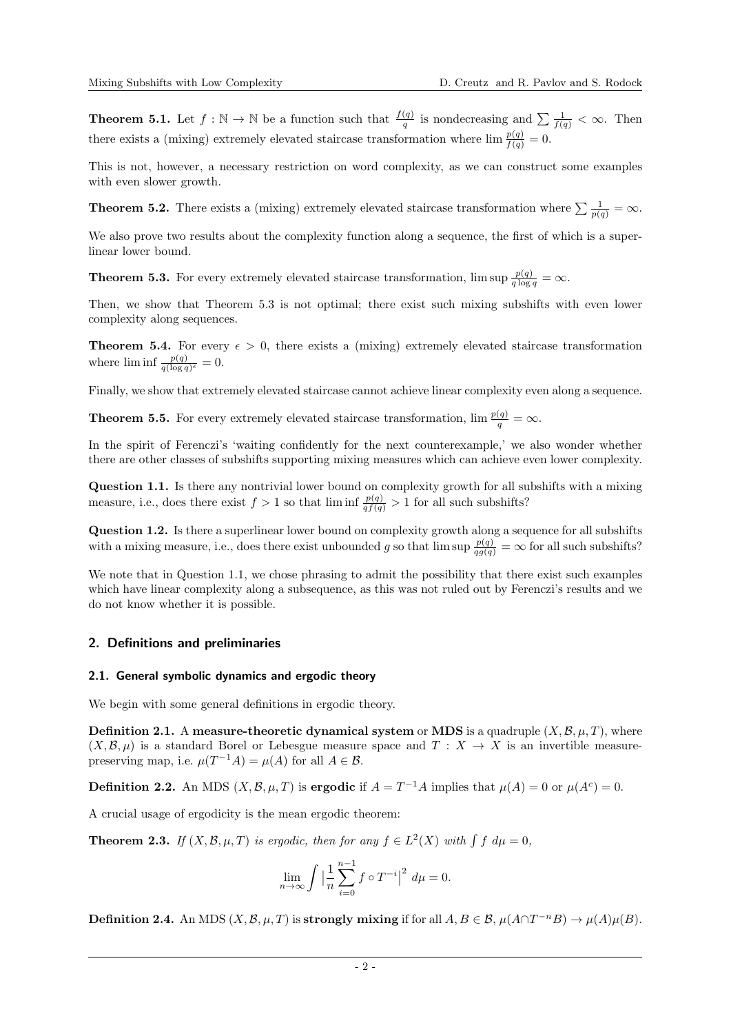**Theorem [5.1.](#page-7-0)** Let  $f : \mathbb{N} \to \mathbb{N}$  be a function such that  $\frac{f(q)}{q}$  is nondecreasing and  $\sum \frac{1}{f(q)} < \infty$ . Then there exists a (mixing) extremely elevated staircase transformation where  $\lim \frac{p(q)}{f(q)} = 0$ .

This is not, however, a necessary restriction on word complexity, as we can construct some examples with even slower growth.

**Theorem [5.2.](#page-8-0)** There exists a (mixing) extremely elevated staircase transformation where  $\sum \frac{1}{p(q)} = \infty$ .

We also prove two results about the complexity function along a sequence, the first of which is a superlinear lower bound.

**Theorem [5.3.](#page-9-0)** For every extremely elevated staircase transformation,  $\limsup \frac{p(q)}{q \log q} = \infty$ .

Then, we show that Theorem [5.3](#page-9-0) is not optimal; there exist such mixing subshifts with even lower complexity along sequences.

**Theorem [5.4.](#page-9-1)** For every  $\epsilon > 0$ , there exists a (mixing) extremely elevated staircase transformation where  $\liminf \frac{p(q)}{q(\log q)^{\epsilon}} = 0.$ 

Finally, we show that extremely elevated staircase cannot achieve linear complexity even along a sequence.

**Theorem [5.5.](#page-10-0)** For every extremely elevated staircase transformation,  $\lim \frac{p(q)}{q} = \infty$ .

In the spirit of Ferenczi's 'waiting confidently for the next counterexample,' we also wonder whether there are other classes of subshifts supporting mixing measures which can achieve even lower complexity.

<span id="page-1-0"></span>Question 1.1. Is there any nontrivial lower bound on complexity growth for all subshifts with a mixing measure, i.e., does there exist  $f > 1$  so that  $\liminf \frac{p(q)}{q f(q)} > 1$  for all such subshifts?

Question 1.2. Is there a superlinear lower bound on complexity growth along a sequence for all subshifts with a mixing measure, i.e., does there exist unbounded g so that  $\limsup \frac{p(q)}{q(q(q))} = \infty$  for all such subshifts?

We note that in Question [1.1,](#page-1-0) we chose phrasing to admit the possibility that there exist such examples which have linear complexity along a subsequence, as this was not ruled out by Ferenczi's results and we do not know whether it is possible.

## 2. Definitions and preliminaries

#### 2.1. General symbolic dynamics and ergodic theory

We begin with some general definitions in ergodic theory.

**Definition 2.1.** A measure-theoretic dynamical system or MDS is a quadruple  $(X, \mathcal{B}, \mu, T)$ , where  $(X, \mathcal{B}, \mu)$  is a standard Borel or Lebesgue measure space and  $T : X \to X$  is an invertible measurepreserving map, i.e.  $\mu(T^{-1}A) = \mu(A)$  for all  $A \in \mathcal{B}$ .

**Definition 2.2.** An MDS  $(X, \mathcal{B}, \mu, T)$  is **ergodic** if  $A = T^{-1}A$  implies that  $\mu(A) = 0$  or  $\mu(A^c) = 0$ .

A crucial usage of ergodicity is the mean ergodic theorem:

**Theorem 2.3.** If  $(X, \mathcal{B}, \mu, T)$  is ergodic, then for any  $f \in L^2(X)$  with  $\int f d\mu = 0$ ,

$$
\lim_{n \to \infty} \int \left| \frac{1}{n} \sum_{i=0}^{n-1} f \circ T^{-i} \right|^2 d\mu = 0.
$$

**Definition 2.4.** An MDS  $(X, \mathcal{B}, \mu, T)$  is strongly mixing if for all  $A, B \in \mathcal{B}, \mu(A \cap T^{-n}B) \to \mu(A)\mu(B)$ .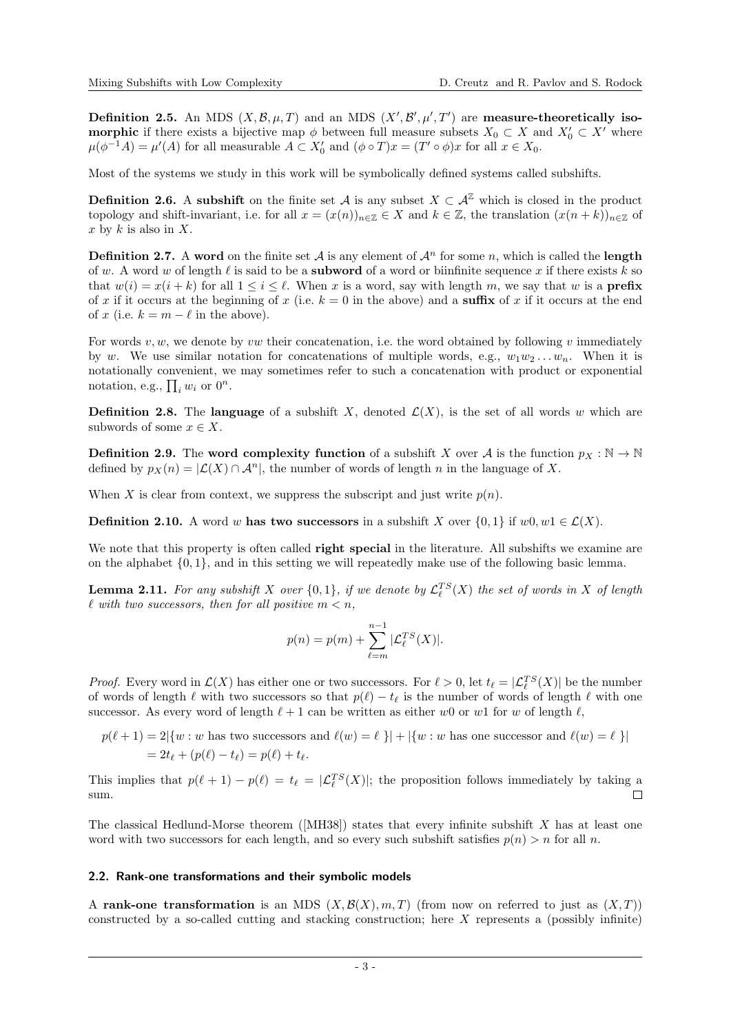**Definition 2.5.** An MDS  $(X, \mathcal{B}, \mu, T)$  and an MDS  $(X', \mathcal{B}', \mu', T')$  are **measure-theoretically isomorphic** if there exists a bijective map  $\phi$  between full measure subsets  $X_0 \subset X$  and  $X'_0 \subset X'$  where  $\mu(\phi^{-1}A) = \mu'(A)$  for all measurable  $A \subset X'_0$  and  $(\phi \circ T)x = (T' \circ \phi)x$  for all  $x \in X_0$ .

Most of the systems we study in this work will be symbolically defined systems called subshifts.

**Definition 2.6.** A subshift on the finite set A is any subset  $X \subset \mathcal{A}^{\mathbb{Z}}$  which is closed in the product topology and shift-invariant, i.e. for all  $x = (x(n))_{n \in \mathbb{Z}} \in X$  and  $k \in \mathbb{Z}$ , the translation  $(x(n + k))_{n \in \mathbb{Z}}$  of x by  $k$  is also in  $X$ .

**Definition 2.7.** A word on the finite set  $A$  is any element of  $A^n$  for some n, which is called the **length** of w. A word w of length  $\ell$  is said to be a **subword** of a word or biinfinite sequence x if there exists k so that  $w(i) = x(i + k)$  for all  $1 \le i \le \ell$ . When x is a word, say with length m, we say that w is a **prefix** of x if it occurs at the beginning of x (i.e.  $k = 0$  in the above) and a suffix of x if it occurs at the end of x (i.e.  $k = m - \ell$  in the above).

For words  $v, w$ , we denote by  $vw$  their concatenation, i.e. the word obtained by following v immediately by w. We use similar notation for concatenations of multiple words, e.g.,  $w_1w_2 \ldots w_n$ . When it is notationally convenient, we may sometimes refer to such a concatenation with product or exponential notation, e.g.,  $\prod_i w_i$  or  $0^n$ .

**Definition 2.8.** The language of a subshift X, denoted  $\mathcal{L}(X)$ , is the set of all words w which are subwords of some  $x \in X$ .

**Definition 2.9.** The word complexity function of a subshift X over A is the function  $p_X : \mathbb{N} \to \mathbb{N}$ defined by  $p_X(n) = |{\mathcal{L}}(X) \cap {\mathcal{A}}^n|$ , the number of words of length n in the language of X.

When X is clear from context, we suppress the subscript and just write  $p(n)$ .

**Definition 2.10.** A word w has two successors in a subshift X over  $\{0,1\}$  if w0, w1  $\in \mathcal{L}(X)$ .

We note that this property is often called **right special** in the literature. All subshifts we examine are on the alphabet  $\{0, 1\}$ , and in this setting we will repeatedly make use of the following basic lemma.

**Lemma 2.11.** For any subshift X over  $\{0,1\}$ , if we denote by  $\mathcal{L}_{\ell}^{TS}(X)$  the set of words in X of length  $\ell$  with two successors, then for all positive  $m < n$ ,

$$
p(n) = p(m) + \sum_{\ell=m}^{n-1} |\mathcal{L}_{\ell}^{TS}(X)|.
$$

*Proof.* Every word in  $\mathcal{L}(X)$  has either one or two successors. For  $\ell > 0$ , let  $t_{\ell} = |\mathcal{L}_{\ell}^{TS}(X)|$  be the number of words of length  $\ell$  with two successors so that  $p(\ell) - t_{\ell}$  is the number of words of length  $\ell$  with one successor. As every word of length  $\ell + 1$  can be written as either w0 or w1 for w of length  $\ell$ ,

$$
p(\ell+1) = 2|\{w : w \text{ has two successors and } \ell(w) = \ell\}| + |\{w : w \text{ has one successor and } \ell(w) = \ell\}|
$$
  
=  $2t_{\ell} + (p(\ell) - t_{\ell}) = p(\ell) + t_{\ell}$ .

This implies that  $p(\ell + 1) - p(\ell) = t_\ell = |\mathcal{L}_{\ell}^{TS}(X)|$ ; the proposition follows immediately by taking a sum.  $\Box$ 

The classical Hedlund-Morse theorem ([\[MH38\]](#page-17-14)) states that every infinite subshift  $X$  has at least one word with two successors for each length, and so every such subshift satisfies  $p(n) > n$  for all n.

#### 2.2. Rank-one transformations and their symbolic models

A rank-one transformation is an MDS  $(X, \mathcal{B}(X), m, T)$  (from now on referred to just as  $(X, T)$ ) constructed by a so-called cutting and stacking construction; here X represents a (possibly infinite)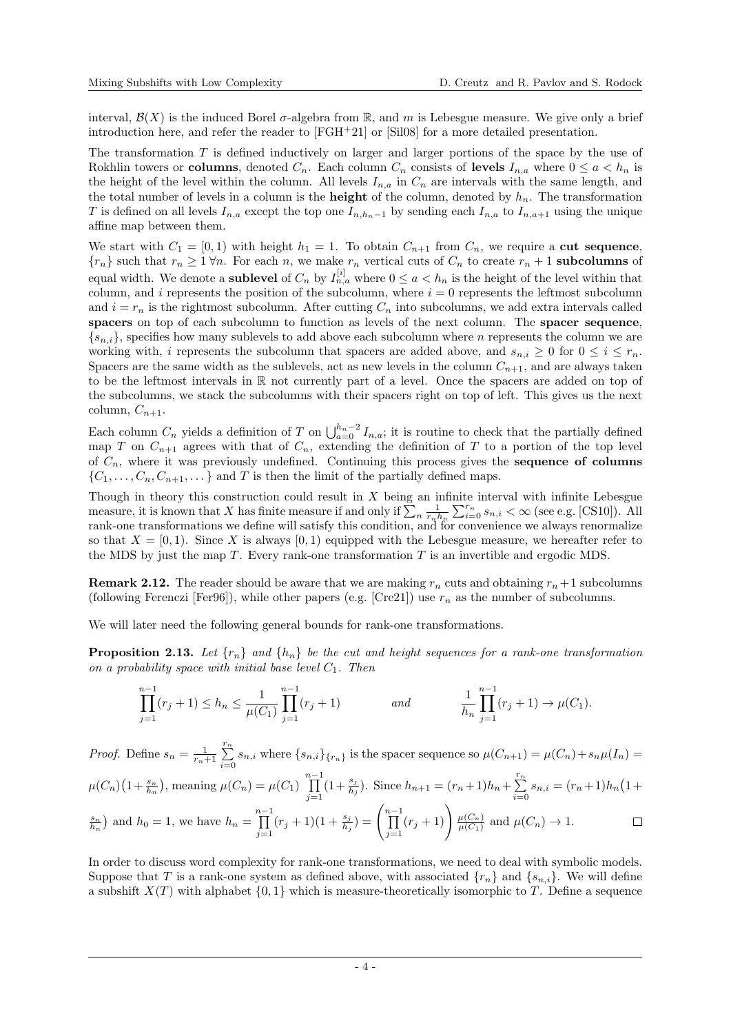interval,  $\mathcal{B}(X)$  is the induced Borel  $\sigma$ -algebra from R, and m is Lebesgue measure. We give only a brief introduction here, and refer the reader to  $[FGH+21]$  $[FGH+21]$  or  $[Si108]$  for a more detailed presentation.

The transformation T is defined inductively on larger and larger portions of the space by the use of Rokhlin towers or columns, denoted  $C_n$ . Each column  $C_n$  consists of levels  $I_{n,a}$  where  $0 \leq a \leq h_n$  is the height of the level within the column. All levels  $I_{n,a}$  in  $C_n$  are intervals with the same length, and the total number of levels in a column is the **height** of the column, denoted by  $h_n$ . The transformation T is defined on all levels  $I_{n,a}$  except the top one  $I_{n,h_n-1}$  by sending each  $I_{n,a}$  to  $I_{n,a+1}$  using the unique affine map between them.

We start with  $C_1 = [0, 1)$  with height  $h_1 = 1$ . To obtain  $C_{n+1}$  from  $C_n$ , we require a cut sequence,  ${r_n}$  such that  $r_n \geq 1 \forall n$ . For each n, we make  $r_n$  vertical cuts of  $C_n$  to create  $r_n + 1$  subcolumns of equal width. We denote a **sublevel** of  $C_n$  by  $I_{n,a}^{[i]}$  where  $0 \le a < h_n$  is the height of the level within that column, and i represents the position of the subcolumn, where  $i = 0$  represents the leftmost subcolumn and  $i = r_n$  is the rightmost subcolumn. After cutting  $C_n$  into subcolumns, we add extra intervals called spacers on top of each subcolumn to function as levels of the next column. The spacer sequence,  ${s_n}_i$ , specifies how many sublevels to add above each subcolumn where n represents the column we are working with, i represents the subcolumn that spacers are added above, and  $s_{n,i} \geq 0$  for  $0 \leq i \leq r_n$ . Spacers are the same width as the sublevels, act as new levels in the column  $C_{n+1}$ , and are always taken to be the leftmost intervals in R not currently part of a level. Once the spacers are added on top of the subcolumns, we stack the subcolumns with their spacers right on top of left. This gives us the next column,  $C_{n+1}$ .

Each column  $C_n$  yields a definition of T on  $\bigcup_{a=0}^{h_n-2} I_{n,a}$ ; it is routine to check that the partially defined map T on  $C_{n+1}$  agrees with that of  $C_n$ , extending the definition of T to a portion of the top level of  $C_n$ , where it was previously undefined. Continuing this process gives the **sequence of columns**  $\{C_1, \ldots, C_n, C_{n+1}, \ldots\}$  and T is then the limit of the partially defined maps.

Though in theory this construction could result in  $X$  being an infinite interval with infinite Lebesgue measure, it is known that X has finite measure if and only if  $\sum_{n}^{\infty} \frac{1}{r_n h_n} \sum_{i=0}^{r_n} s_{n,i} < \infty$  (see e.g. [\[CS10\]](#page-17-13)). All rank-one transformations we define will satisfy this condition, and for convenience we always renormalize so that  $X = [0, 1)$ . Since X is always  $[0, 1)$  equipped with the Lebesgue measure, we hereafter refer to the MDS by just the map  $T$ . Every rank-one transformation  $T$  is an invertible and ergodic MDS.

**Remark 2.12.** The reader should be aware that we are making  $r_n$  cuts and obtaining  $r_n+1$  subcolumns (following Ferenczi [\[Fer96\]](#page-17-9)), while other papers (e.g. [\[Cre21\]](#page-17-17)) use  $r_n$  as the number of subcolumns.

We will later need the following general bounds for rank-one transformations.

<span id="page-3-0"></span>**Proposition 2.13.** Let  $\{r_n\}$  and  $\{h_n\}$  be the cut and height sequences for a rank-one transformation on a probability space with initial base level  $C_1$ . Then

$$
\prod_{j=1}^{n-1} (r_j + 1) \le h_n \le \frac{1}{\mu(C_1)} \prod_{j=1}^{n-1} (r_j + 1) \qquad \text{and} \qquad \frac{1}{h_n} \prod_{j=1}^{n-1} (r_j + 1) \to \mu(C_1).
$$

*Proof.* Define  $s_n = \frac{1}{r_n+1} \sum_{n=1}^{r_n}$  $\sum_{i=0} s_{n,i}$  where  $\{s_{n,i}\}_{\{r_n\}}$  is the spacer sequence so  $\mu(C_{n+1}) = \mu(C_n) + s_n \mu(I_n) =$  $\mu(C_n)\left(1+\frac{s_n}{h_n}\right)$ , meaning  $\mu(C_n) = \mu(C_1) \prod_{n=1}^{n-1}$  $(1+\frac{s_j}{h_j})$ . Since  $h_{n+1} = (r_n+1)h_n + \sum_{i=1}^{r_n}$  $\sum_{i=0}^{n} s_{n,i} = (r_n+1)h_n(1+$  $j=1$  $\prod_{j=1}^{n-1} (r_j+1)(1+\frac{s_j}{h_j}) = \left(\prod_{j=1}^{n-1}$  $\prod_{j=1}^{n-1}(r_j+1)\right)\frac{\mu(C_n)}{\mu(C_1)}$  $\binom{s_n}{h_n}$  and  $h_0 = 1$ , we have  $h_n = \prod_{i=1}^{n-1}$  $\Box$  $\frac{\mu(C_n)}{\mu(C_1)}$  and  $\mu(C_n) \to 1$ .

In order to discuss word complexity for rank-one transformations, we need to deal with symbolic models. Suppose that T is a rank-one system as defined above, with associated  $\{r_n\}$  and  $\{s_{n,i}\}$ . We will define a subshift  $X(T)$  with alphabet  $\{0, 1\}$  which is measure-theoretically isomorphic to T. Define a sequence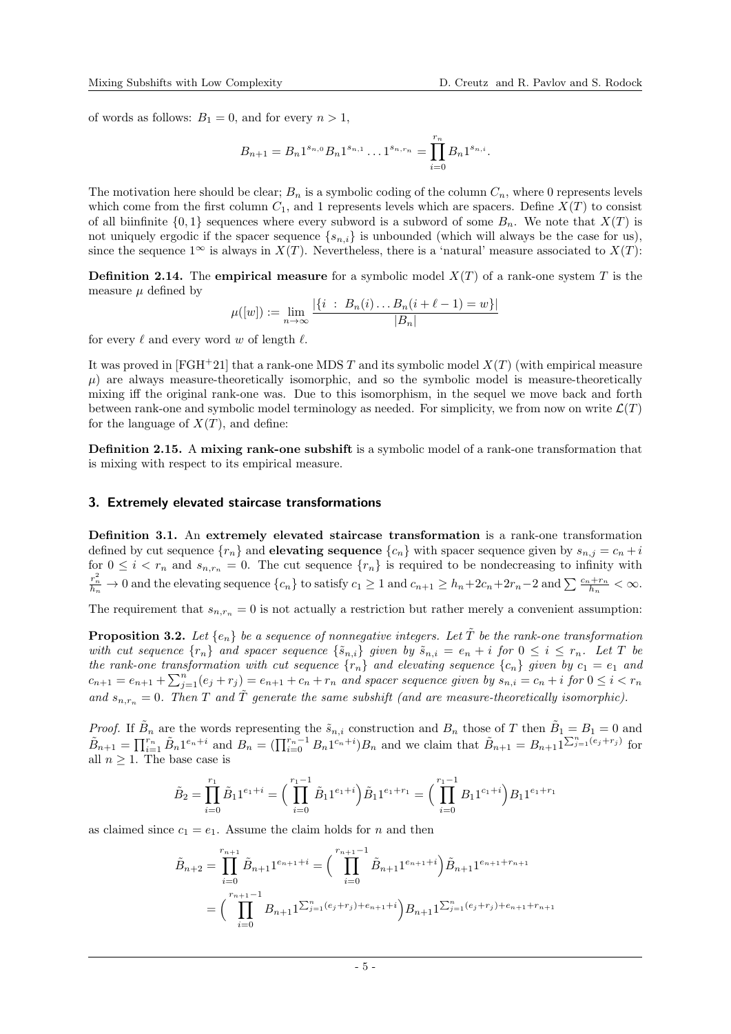of words as follows:  $B_1 = 0$ , and for every  $n > 1$ ,

$$
B_{n+1} = B_n 1^{s_{n,0}} B_n 1^{s_{n,1}} \dots 1^{s_{n,r_n}} = \prod_{i=0}^{r_n} B_n 1^{s_{n,i}}.
$$

The motivation here should be clear;  $B_n$  is a symbolic coding of the column  $C_n$ , where 0 represents levels which come from the first column  $C_1$ , and 1 represents levels which are spacers. Define  $X(T)$  to consist of all biinfinite  $\{0,1\}$  sequences where every subword is a subword of some  $B_n$ . We note that  $X(T)$  is not uniquely ergodic if the spacer sequence  $\{s_{n,i}\}\$ is unbounded (which will always be the case for us), since the sequence  $1^{\infty}$  is always in  $X(T)$ . Nevertheless, there is a 'natural' measure associated to  $X(T)$ :

**Definition 2.14.** The empirical measure for a symbolic model  $X(T)$  of a rank-one system T is the measure  $\mu$  defined by

$$
\mu([w]) := \lim_{n \to \infty} \frac{|\{i : B_n(i) \dots B_n(i + \ell - 1) = w\}|}{|B_n|}
$$

for every  $\ell$  and every word w of length  $\ell$ .

It was proved in [\[FGH](#page-17-15)+21] that a rank-one MDS T and its symbolic model  $X(T)$  (with empirical measure  $\mu$ ) are always measure-theoretically isomorphic, and so the symbolic model is measure-theoretically mixing iff the original rank-one was. Due to this isomorphism, in the sequel we move back and forth between rank-one and symbolic model terminology as needed. For simplicity, we from now on write  $\mathcal{L}(T)$ for the language of  $X(T)$ , and define:

Definition 2.15. A mixing rank-one subshift is a symbolic model of a rank-one transformation that is mixing with respect to its empirical measure.

## 3. Extremely elevated staircase transformations

Definition 3.1. An extremely elevated staircase transformation is a rank-one transformation defined by cut sequence  $\{r_n\}$  and **elevating sequence**  $\{c_n\}$  with spacer sequence given by  $s_{n,j} = c_n + i$ for  $0 \leq i \leq r_n$  and  $s_{n,r_n} = 0$ . The cut sequence  $\{r_n\}$  is required to be nondecreasing to infinity with  $\frac{r_n^2}{h_n} \to 0$  and the elevating sequence  $\{c_n\}$  to satisfy  $c_1 \ge 1$  and  $c_{n+1} \ge h_n + 2c_n + 2r_n - 2$  and  $\sum \frac{c_n + r_n}{h_n} < \infty$ .

The requirement that  $s_{n,r_n} = 0$  is not actually a restriction but rather merely a convenient assumption:

<span id="page-4-0"></span>**Proposition 3.2.** Let  $\{e_n\}$  be a sequence of nonnegative integers. Let  $\tilde{T}$  be the rank-one transformation with cut sequence  $\{r_n\}$  and spacer sequence  $\{\tilde{s}_{n,i}\}$  given by  $\tilde{s}_{n,i} = e_n + i$  for  $0 \le i \le r_n$ . Let T be the rank-one transformation with cut sequence  $\{r_n\}$  and elevating sequence  $\{c_n\}$  given by  $c_1 = e_1$  and  $c_{n+1} = e_{n+1} + \sum_{j=1}^{n} (e_j + r_j) = e_{n+1} + c_n + r_n$  and spacer sequence given by  $s_{n,i} = c_n + i$  for  $0 \le i < r_n$ and  $s_{n,r_n} = 0$ . Then T and  $\tilde{T}$  generate the same subshift (and are measure-theoretically isomorphic).

*Proof.* If  $\tilde{B}_n$  are the words representing the  $\tilde{s}_{n,i}$  construction and  $B_n$  those of T then  $\tilde{B}_1 = B_1 = 0$  and  $\tilde{B}_{n+1} = \prod_{i=1}^{r_n} \tilde{B}_n 1^{e_n+i}$  and  $B_n = (\prod_{i=0}^{r_n-1} B_n 1^{c_n+i})B_n$  and we claim that  $\tilde{B}_{n+1} = B_{n+1} 1^{\sum_{j=1}^{n} (e_j+r_j)}$  for all  $n \geq 1$ . The base case is

$$
\tilde{B}_2 = \prod_{i=0}^{r_1} \tilde{B}_1 1^{e_1+i} = \left(\prod_{i=0}^{r_1-1} \tilde{B}_1 1^{e_1+i}\right) \tilde{B}_1 1^{e_1+r_1} = \left(\prod_{i=0}^{r_1-1} B_1 1^{e_1+i}\right) B_1 1^{e_1+r_1}
$$

as claimed since  $c_1 = e_1$ . Assume the claim holds for n and then

$$
\tilde{B}_{n+2} = \prod_{i=0}^{r_{n+1}} \tilde{B}_{n+1} 1^{e_{n+1}+i} = \left( \prod_{i=0}^{r_{n+1}-1} \tilde{B}_{n+1} 1^{e_{n+1}+i} \right) \tilde{B}_{n+1} 1^{e_{n+1}+r_{n+1}}
$$
\n
$$
= \left( \prod_{i=0}^{r_{n+1}-1} B_{n+1} 1^{\sum_{j=1}^{n} (e_j+r_j) + e_{n+1}+i} \right) B_{n+1} 1^{\sum_{j=1}^{n} (e_j+r_j) + e_{n+1}+r_{n+1}}
$$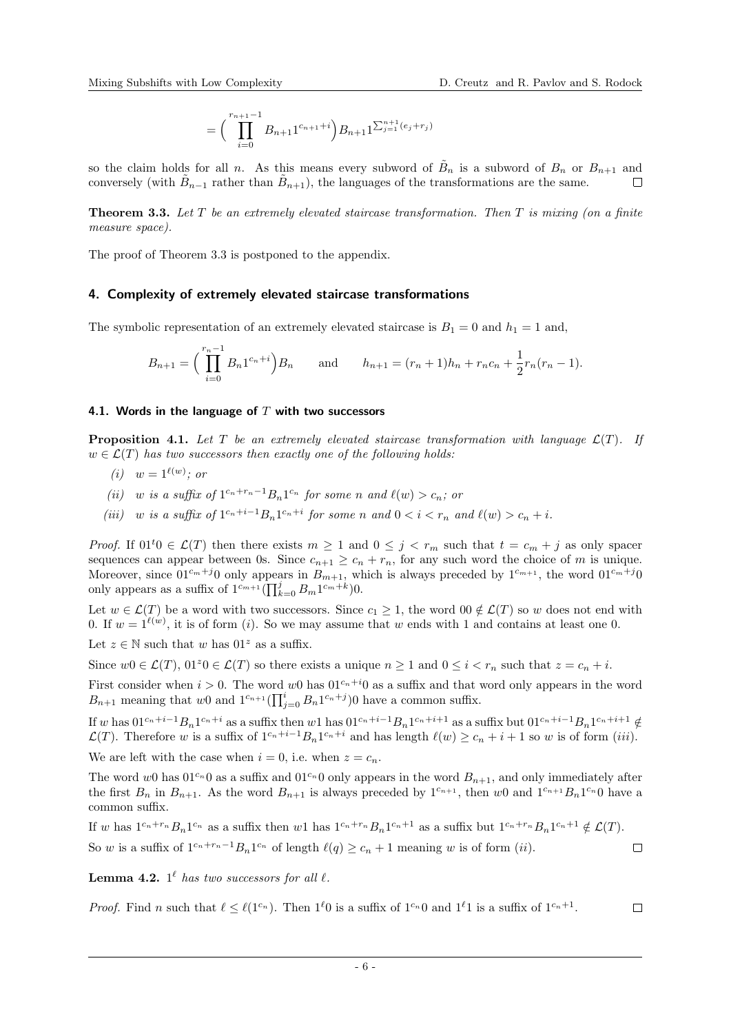$$
= \Big(\prod_{i=0}^{r_{n+1}-1} B_{n+1}1^{c_{n+1}+i}\Big)B_{n+1}1^{\sum_{j=1}^{n+1}(e_j+r_j)}
$$

so the claim holds for all n. As this means every subword of  $B_n$  is a subword of  $B_n$  or  $B_{n+1}$  and conversely (with  $\tilde{B}_{n-1}$  rather than  $\tilde{B}_{n+1}$ ), the languages of the transformations are the same.

<span id="page-5-0"></span>**Theorem 3.3.** Let  $T$  be an extremely elevated staircase transformation. Then  $T$  is mixing (on a finite measure space).

The proof of Theorem [3.3](#page-5-0) is postponed to the appendix.

## 4. Complexity of extremely elevated staircase transformations

The symbolic representation of an extremely elevated staircase is  $B_1 = 0$  and  $h_1 = 1$  and,

$$
B_{n+1} = \left(\prod_{i=0}^{r_n-1} B_n 1^{c_n+i}\right) B_n \quad \text{and} \quad h_{n+1} = (r_n+1)h_n + r_n c_n + \frac{1}{2}r_n(r_n-1).
$$

## 4.1. Words in the language of  $T$  with two successors

<span id="page-5-4"></span>**Proposition 4.1.** Let T be an extremely elevated staircase transformation with language  $\mathcal{L}(T)$ . If  $w \in \mathcal{L}(T)$  has two successors then exactly one of the following holds:

- <span id="page-5-1"></span>(i)  $w = 1^{\ell(w)}$ ; or
- <span id="page-5-3"></span>(ii) w is a suffix of  $1^{c_n+r_n-1}B_n1^{c_n}$  for some n and  $\ell(w) > c_n$ ; or
- <span id="page-5-2"></span>(iii) w is a suffix of  $1^{c_n+i-1}B_n1^{c_n+i}$  for some n and  $0 < i < r_n$  and  $\ell(w) > c_n + i$ .

*Proof.* If  $01^t0 \in \mathcal{L}(T)$  then there exists  $m \geq 1$  and  $0 \leq j \leq r_m$  such that  $t = c_m + j$  as only spacer sequences can appear between 0s. Since  $c_{n+1} \ge c_n + r_n$ , for any such word the choice of m is unique. Moreover, since  $01^{c_m+j}0$  only appears in  $B_{m+1}$ , which is always preceded by  $1^{c_{m+1}}$ , the word  $01^{c_m+j}0$ only appears as a suffix of  $1^{c_{m+1}} \left( \prod_{k=0}^{j} B_m 1^{c_m+k} \right) 0$ .

Let  $w \in \mathcal{L}(T)$  be a word with two successors. Since  $c_1 \geq 1$ , the word  $00 \notin \mathcal{L}(T)$  so w does not end with 0. If  $w = 1^{\ell(w)}$ , [i](#page-5-1)t is of form (i). So we may assume that w ends with 1 and contains at least one 0.

Let  $z \in \mathbb{N}$  such that w has  $01^z$  as a suffix.

Since  $w0 \in \mathcal{L}(T)$ ,  $01^z0 \in \mathcal{L}(T)$  so there exists a unique  $n \geq 1$  and  $0 \leq i \leq r_n$  such that  $z = c_n + i$ .

First consider when  $i > 0$ . The word w0 has  $01^{c_n+i}0$  as a suffix and that word only appears in the word  $B_{n+1}$  meaning that w0 and  $1^{c_{n+1}}\left(\prod_{j=0}^{i} B_n 1^{c_n+j}\right)$  have a common suffix.

If w has  $01^{c_n+i-1}B_n1^{c_n+i}$  as a suffix then w1 has  $01^{c_n+i-1}B_n1^{c_n+i+1}$  as a suffix but  $01^{c_n+i-1}B_n1^{c_n+i+1} \notin$  $\mathcal{L}(T)$ . Therefore w is a suffix of  $1^{c_n+i-1}B_n1^{c_n+i}$  and has length  $\ell(w) \ge c_n + i + 1$  so w is of form ([iii](#page-5-2)). We are left with the case when  $i = 0$ , i.e. when  $z = c_n$ .

The word w0 has  $01^{c_n}$  as a suffix and  $01^{c_n}$  0 only appears in the word  $B_{n+1}$ , and only immediately after the first  $B_n$  in  $B_{n+1}$ . As the word  $B_{n+1}$  is always preceded by  $1^{c_{n+1}}$ , then w0 and  $1^{c_{n+1}}B_n1^{c_n}0$  have a common suffix.

If w has  $1^{c_n+r_n}B_n1^{c_n}$  as a suffix then w1 has  $1^{c_n+r_n}B_n1^{c_n+1}$  as a suffix but  $1^{c_n+r_n}B_n1^{c_n+1} \notin \mathcal{L}(T)$ . So w is a suffix of  $1^{c_n+r_n-1}B_n1^{c_n}$  of length  $\ell(q) \geq c_n + 1$  meaning w is of form  $(ii)$  $(ii)$  $(ii)$ .  $\Box$ 

<span id="page-5-5"></span>**Lemma 4.2.**  $1^{\ell}$  has two successors for all  $\ell$ .

*Proof.* Find n such that  $\ell \leq \ell(1^{c_n})$ . Then  $1^{\ell}0$  is a suffix of  $1^{c_n}0$  and  $1^{\ell}1$  is a suffix of  $1^{c_n+1}$ .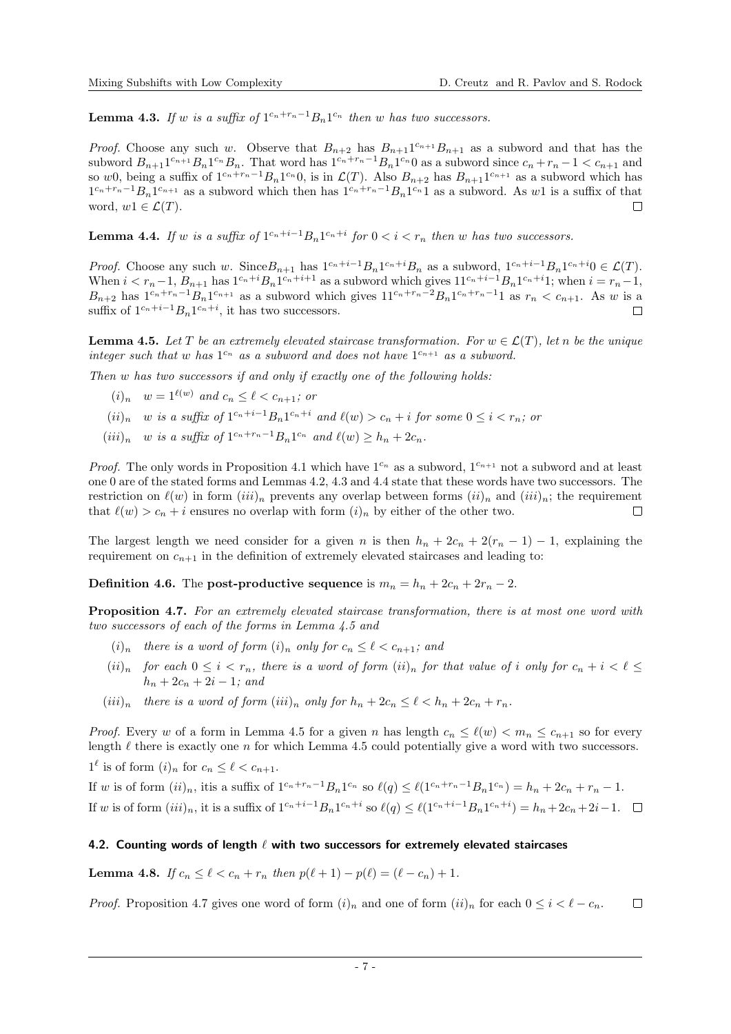<span id="page-6-0"></span>**Lemma 4.3.** If w is a suffix of  $1^{c_n+r_n-1}B_n1^{c_n}$  then w has two successors.

*Proof.* Choose any such w. Observe that  $B_{n+2}$  has  $B_{n+1}1^{c_{n+1}}B_{n+1}$  as a subword and that has the subword  $B_{n+1}1^{c_n+1}B_n1^{c_n}B_n$ . That word has  $1^{c_n+r_n-1}B_n1^{c_n}0$  as a subword since  $c_n+r_n-1 < c_{n+1}$  and so w0, being a suffix of  $1^{c_n+r_n-1}B_n1^{c_n}0$ , is in  $\mathcal{L}(T)$ . Also  $B_{n+2}$  has  $B_{n+1}1^{c_{n+1}}$  as a subword which has  $1^{c_n+r_n-1}B_n1^{c_{n+1}}$  as a subword which then has  $1^{c_n+r_n-1}B_n1^{c_n}1$  as a subword. As w1 is a suffix of that word,  $w1 \in \mathcal{L}(T)$ .

<span id="page-6-1"></span>**Lemma 4.4.** If w is a suffix of  $1^{c_n+i-1}B_n1^{c_n+i}$  for  $0 < i < r_n$  then w has two successors.

*Proof.* Choose any such w. Since  $B_{n+1}$  has  $1^{c_n+i-1}B_n1^{c_n+i}B_n$  as a subword,  $1^{c_n+i-1}B_n1^{c_n+i}0 \in \mathcal{L}(T)$ . When  $i < r_n - 1$ ,  $B_{n+1}$  has  $1^{c_n+i} B_n 1^{c_n+i+1}$  as a subword which gives  $11^{c_n+i-1} B_n 1^{c_n+i} 1$ ; when  $i = r_n - 1$ ,  $B_{n+2}$  has  $1^{c_n+r_n-1}B_n1^{c_{n+1}}$  as a subword which gives  $11^{c_n+r_n-2}B_n1^{c_n+r_n-1}1$  as  $r_n < c_{n+1}$ . As w is a suffix of  $1^{c_n+i-1}B_n1^{c_n+i}$ , it has two successors.  $\Box$ 

<span id="page-6-5"></span>**Lemma 4.5.** Let T be an extremely elevated staircase transformation. For  $w \in \mathcal{L}(T)$ , let n be the unique integer such that w has  $1^{c_n}$  as a subword and does not have  $1^{c_{n+1}}$  as a subword.

<span id="page-6-4"></span>Then w has two successors if and only if exactly one of the following holds:

- $(i)_n \quad w = 1^{\ell(w)} \text{ and } c_n \leq \ell < c_{n+1}$ ; or
- <span id="page-6-3"></span> $(ii)<sub>n</sub>$  w is a suffix of  $1^{c_n+i-1}B_n1^{c_n+i}$  and  $\ell(w) > c_n + i$  for some  $0 \leq i < r_n$ ; or
- <span id="page-6-2"></span> $(iii)_n$  w is a suffix of  $1^{c_n+r_n-1}B_n1^{c_n}$  and  $\ell(w) \geq h_n + 2c_n$ .

*Proof.* The only words in Proposition [4.1](#page-5-4) which have  $1^{c_n}$  as a subword,  $1^{c_{n+1}}$  not a subword and at least one 0 are of the stated forms and Lemmas [4.2,](#page-5-5) [4.3](#page-6-0) and [4.4](#page-6-1) state that these words have two successors. The restriction on  $\ell(w)$  in form  $(iii)_n$  $(iii)_n$  $(iii)_n$  prevents any overlap between forms  $(ii)_n$  $(ii)_n$  $(ii)_n$  and  $(iii)_n$ ; the requirement that  $\ell(w) > c_n + i$  $\ell(w) > c_n + i$  ensures no overlap with form  $(i)_n$  by either of the other two.  $\Box$ 

The largest length we need consider for a given n is then  $h_n + 2c_n + 2(r_n - 1) - 1$ , explaining the requirement on  $c_{n+1}$  in the definition of extremely elevated staircases and leading to:

**Definition 4.6.** The post-productive sequence is  $m_n = h_n + 2c_n + 2r_n - 2$ .

<span id="page-6-6"></span>Proposition 4.7. For an extremely elevated staircase transformation, there is at most one word with two successors of each of the forms in Lemma [4.5](#page-6-5) and

- <span id="page-6-7"></span> $(i)_n$  $(i)_n$  $(i)_n$  there is a word of form  $(i)_n$  only for  $c_n \leq \ell < c_{n+1}$ ; and
- <span id="page-6-8"></span> $(ii)_n$  $(ii)_n$  $(ii)_n$  for each  $0 \leq i \leq r_n$ , there is a word of form  $(ii)_n$  for that value of i only for  $c_n + i \leq \ell \leq$  $h_n + 2c_n + 2i - 1$ ; and
- <span id="page-6-9"></span> $(iii)_n$  $(iii)_n$  $(iii)_n$  there is a word of form  $(iii)_n$  only for  $h_n + 2c_n \leq \ell \leq h_n + 2c_n + r_n$ .

*Proof.* Every w of a form in Lemma [4.5](#page-6-5) for a given n has length  $c_n \leq \ell(w) < m_n \leq c_{n+1}$  so for every length  $\ell$  there is exactly one n for which Lemma [4.5](#page-6-5) could potentially give a word with two successors.

 $1^{\ell}$  [i](#page-6-4)s of form  $(i)_n$  for  $c_n \leq \ell < c_{n+1}$ .

If w is of form  $(ii)_n$  $(ii)_n$  $(ii)_n$ , itis a suffix of  $1^{c_n+r_n-1}B_n1^{c_n}$  so  $\ell(q) \leq \ell(1^{c_n+r_n-1}B_n1^{c_n}) = h_n + 2c_n + r_n - 1$ . If w is of form  $(iii)_n$  $(iii)_n$  $(iii)_n$ , it is a suffix of  $1^{c_n+i-1}B_n1^{c_n+i}$  so  $\ell(q) \leq \ell(1^{c_n+i-1}B_n1^{c_n+i}) = h_n + 2c_n + 2i - 1$ .

#### 4.2. Counting words of length  $\ell$  with two successors for extremely elevated staircases

<span id="page-6-10"></span>**Lemma 4.8.** If  $c_n \leq \ell < c_n + r_n$  then  $p(\ell + 1) - p(\ell) = (\ell - c_n) + 1$ .

*Proof.* Proposition [4.7](#page-6-6) g[i](#page-6-7)ves one word of form  $(i)_n$  and one of form  $(ii)_n$  $(ii)_n$  $(ii)_n$  for each  $0 \le i \le \ell - c_n$ .  $\Box$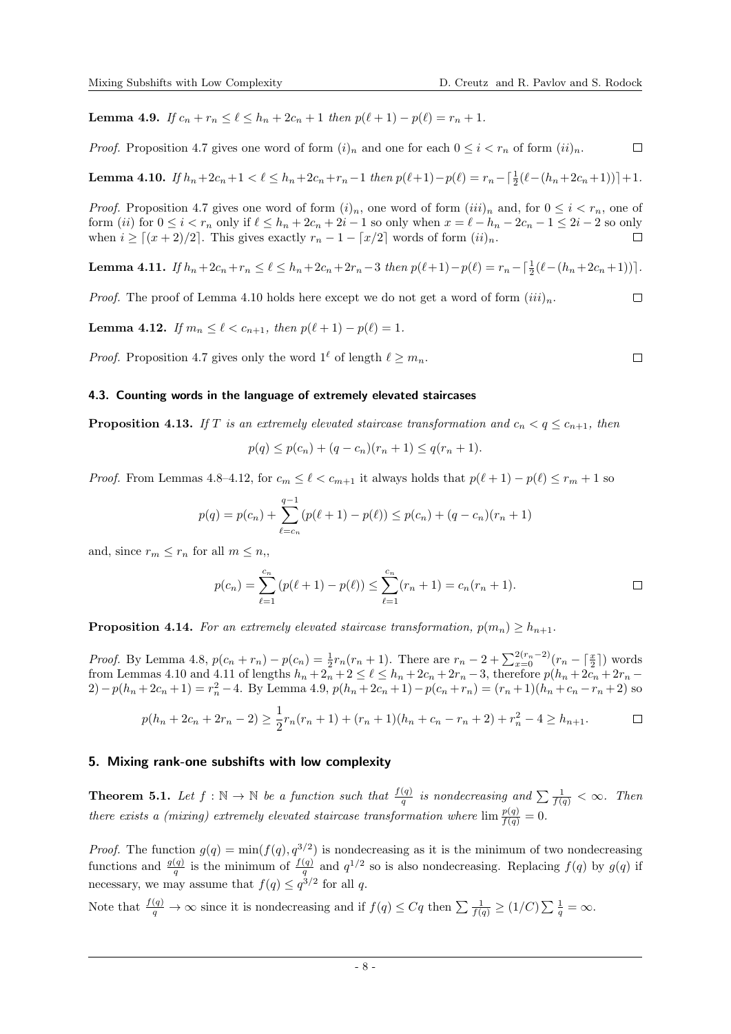<span id="page-7-4"></span>Lemma 4.9. If  $c_n + r_n \leq \ell \leq h_n + 2c_n + 1$  then  $p(\ell + 1) - p(\ell) = r_n + 1$ .

*Proof.* Proposition [4.7](#page-6-6) g[i](#page-6-7)ves one word of form  $(i)_n$  and one for each  $0 \leq i \leq r_n$  of form  $(ii)_n$  $(ii)_n$  $(ii)_n$ .  $\Box$ 

<span id="page-7-1"></span>**Lemma 4.10.** If 
$$
h_n + 2c_n + 1 < \ell \leq h_n + 2c_n + r_n - 1
$$
 then  $p(\ell+1) - p(\ell) = r_n - \lceil \frac{1}{2}(\ell - (h_n + 2c_n + 1)) \rceil + 1$ .

*Proof.* Proposition [4.7](#page-6-6) g[i](#page-6-7)ves one word of form  $(i)_n$ , one word of form  $(iii)_n$  $(iii)_n$  $(iii)_n$  and, for  $0 \le i \le r_n$ , one of form ([ii](#page-6-8)) for  $0 \leq i < r_n$  only if  $\ell \leq h_n + 2c_n + 2i - 1$  so only when  $x = \ell - h_n - 2c_n - 1 \leq 2i - 2$  so only when  $i \geq [(x + 2)/2]$ . This gives exactly  $r_n - 1 - [x/2]$  words of form  $(ii)_n$  $(ii)_n$  $(ii)_n$ .

<span id="page-7-3"></span>Lemma 4.11. If  $h_n + 2c_n + r_n \le \ell \le h_n + 2c_n + 2r_n - 3$  then  $p(\ell+1) - p(\ell) = r_n - \lceil \frac{1}{2}(\ell - (h_n + 2c_n + 1)) \rceil$ .

*Proof.* The proof of Lemma [4.10](#page-7-1) holds here except we do not get a word of form  $(iii)_n$  $(iii)_n$  $(iii)_n$ .

<span id="page-7-2"></span>Lemma 4.12. If  $m_n \leq \ell \leq c_{n+1}$ , then  $p(\ell + 1) - p(\ell) = 1$ .

*Proof.* Proposition [4.7](#page-6-6) gives only the word  $1^{\ell}$  of length  $\ell > m_n$ .

#### 4.3. Counting words in the language of extremely elevated staircases

<span id="page-7-5"></span>**Proposition 4.13.** If T is an extremely elevated staircase transformation and  $c_n < q \leq c_{n+1}$ , then

 $p(q) \leq p(c_n) + (q - c_n)(r_n + 1) \leq q(r_n + 1).$ 

*Proof.* From Lemmas [4.8](#page-6-10)[–4.12,](#page-7-2) for  $c_m \leq \ell < c_{m+1}$  it always holds that  $p(\ell + 1) - p(\ell) \leq r_m + 1$  so

$$
p(q) = p(c_n) + \sum_{\ell=c_n}^{q-1} (p(\ell+1) - p(\ell)) \le p(c_n) + (q - c_n)(r_n + 1)
$$

and, since  $r_m \leq r_n$  for all  $m \leq n$ ,

$$
p(c_n) = \sum_{\ell=1}^{c_n} (p(\ell+1) - p(\ell)) \le \sum_{\ell=1}^{c_n} (r_n + 1) = c_n(r_n + 1).
$$

<span id="page-7-6"></span>**Proposition 4.14.** For an extremely elevated staircase transformation,  $p(m_n) > h_{n+1}$ .

*Proof.* By Lemma [4.8,](#page-6-10)  $p(c_n + r_n) - p(c_n) = \frac{1}{2}r_n(r_n + 1)$ . There are  $r_n - 2 + \sum_{x=0}^{2(r_n-2)} (r_n - \lceil \frac{x}{2} \rceil)$  words from Lemmas [4.10](#page-7-1) and [4.11](#page-7-3) of lengths  $h_n + 2_n + 2 \leq \ell \leq h_n + 2c_n + 2r_n - 3$ , therefore  $p(h_n + 2c_n + 2r_n - 1)$ 2)−p( $h_n + 2c_n + 1$ ) =  $r_n^2 - 4$ . By Lemma [4.9,](#page-7-4) p( $h_n + 2c_n + 1$ )−p( $c_n + r_n$ ) = ( $r_n + 1$ )( $h_n + c_n - r_n + 2$ ) so

$$
p(h_n + 2c_n + 2r_n - 2) \ge \frac{1}{2}r_n(r_n + 1) + (r_n + 1)(h_n + c_n - r_n + 2) + r_n^2 - 4 \ge h_{n+1}.
$$

#### 5. Mixing rank-one subshifts with low complexity

<span id="page-7-0"></span>**Theorem 5.1.** Let  $f : \mathbb{N} \to \mathbb{N}$  be a function such that  $\frac{f(q)}{q}$  is nondecreasing and  $\sum \frac{1}{f(q)} < \infty$ . Then there exists a (mixing) extremely elevated staircase transformation where  $\lim \frac{p(q)}{f(q)} = 0$ .

*Proof.* The function  $g(q) = \min(f(q), q^{3/2})$  is nondecreasing as it is the minimum of two nondecreasing functions and  $\frac{g(q)}{q}$  is the minimum of  $\frac{f(q)}{q}$  and  $q^{1/2}$  so is also nondecreasing. Replacing  $f(q)$  by  $g(q)$  if necessary, we may assume that  $f(q) \leq q^{3/2}$  for all q.

Note that  $\frac{f(q)}{q} \to \infty$  since it is nondecreasing and if  $f(q) \leq Cq$  then  $\sum \frac{1}{f(q)} \geq (1/C) \sum \frac{1}{q} = \infty$ .

 $\Box$ 

 $\Box$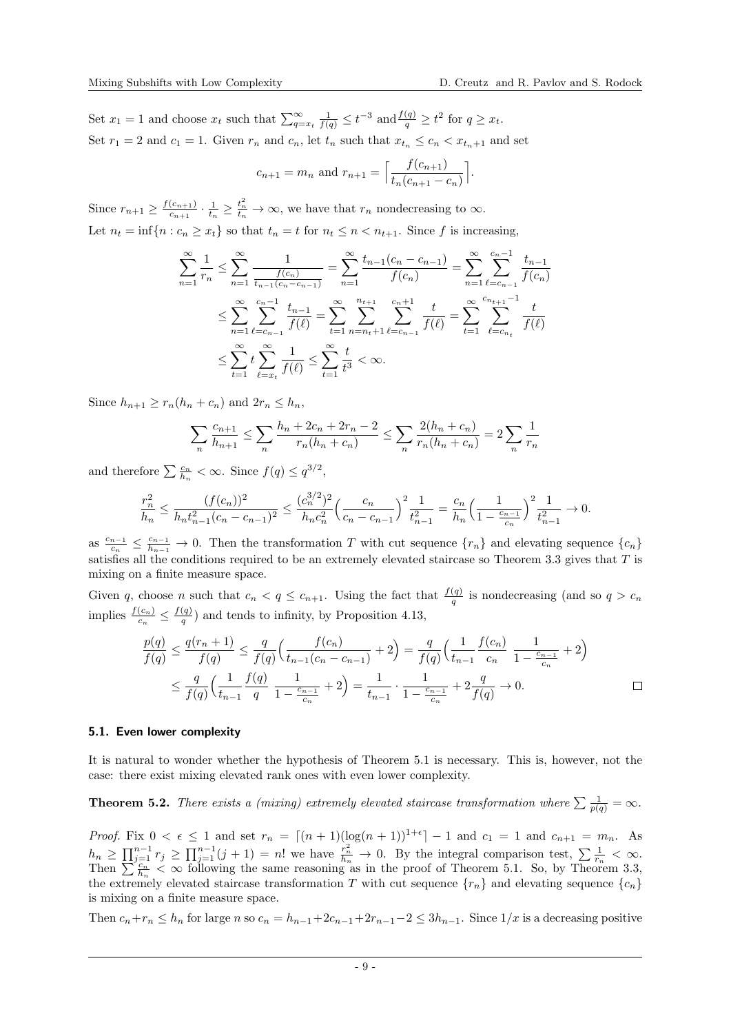Set  $x_1 = 1$  and choose  $x_t$  such that  $\sum_{q=x_t}^{\infty} \frac{1}{f(q)} \leq t^{-3}$  and  $\frac{f(q)}{q} \geq t^2$  for  $q \geq x_t$ . Set  $r_1 = 2$  and  $c_1 = 1$ . Given  $r_n$  and  $c_n$ , let  $t_n$  such that  $x_{t_n} \leq c_n < x_{t_n+1}$  and set

$$
c_{n+1} = m_n
$$
 and  $r_{n+1} = \left[ \frac{f(c_{n+1})}{t_n(c_{n+1} - c_n)} \right].$ 

Since  $r_{n+1} \geq \frac{f(c_{n+1})}{f(c_{n+1})}$  $\frac{(c_{n+1})}{c_{n+1}} \cdot \frac{1}{t_n} \geq \frac{t_n^2}{t_n} \to \infty$ , we have that  $r_n$  nondecreasing to  $\infty$ . Let  $n_t = \inf\{n : c_n \geq x_t\}$  so that  $t_n = t$  for  $n_t \leq n < n_{t+1}$ . Since f is increasing,

$$
\sum_{n=1}^{\infty} \frac{1}{r_n} \le \sum_{n=1}^{\infty} \frac{1}{\frac{f(c_n)}{t_{n-1}(c_n - c_{n-1})}} = \sum_{n=1}^{\infty} \frac{t_{n-1}(c_n - c_{n-1})}{f(c_n)} = \sum_{n=1}^{\infty} \sum_{\ell = c_{n-1}}^{c_n - 1} \frac{t_{n-1}}{f(c_n)}
$$

$$
\le \sum_{n=1}^{\infty} \sum_{\ell = c_{n-1}}^{c_n - 1} \frac{t_{n-1}}{f(\ell)} = \sum_{t=1}^{\infty} \sum_{n=n_t+1}^{n_{t+1}} \sum_{\ell = c_{n-1}}^{c_n + 1} \frac{t}{f(\ell)} = \sum_{t=1}^{\infty} \sum_{\ell = c_{n_t}}^{c_{n_{t+1}} - 1} \frac{t}{f(\ell)}
$$

$$
\le \sum_{t=1}^{\infty} t \sum_{\ell = x_t}^{c_n} \frac{1}{f(\ell)} \le \sum_{t=1}^{\infty} \frac{t}{t^3} < \infty.
$$

Since  $h_{n+1} > r_n(h_n + c_n)$  and  $2r_n \leq h_n$ ,

$$
\sum_{n} \frac{c_{n+1}}{h_{n+1}} \le \sum_{n} \frac{h_n + 2c_n + 2r_n - 2}{r_n(h_n + c_n)} \le \sum_{n} \frac{2(h_n + c_n)}{r_n(h_n + c_n)} = 2 \sum_{n} \frac{1}{r_n}
$$

and therefore  $\sum \frac{c_n}{h_n} < \infty$ . Since  $f(q) \leq q^{3/2}$ ,

$$
\frac{r_n^2}{h_n} \le \frac{(f(c_n))^2}{h_n t_{n-1}^2 (c_n - c_{n-1})^2} \le \frac{(c_n^{3/2})^2}{h_n c_n^2} \left(\frac{c_n}{c_n - c_{n-1}}\right)^2 \frac{1}{t_{n-1}^2} = \frac{c_n}{h_n} \left(\frac{1}{1 - \frac{c_{n-1}}{c_n}}\right)^2 \frac{1}{t_{n-1}^2} \to 0.
$$

as  $\frac{c_{n-1}}{c}$  $\frac{n-1}{c_n} \leq \frac{c_{n-1}}{h_{n-1}} \to 0$ . Then the transformation T with cut sequence  $\{r_n\}$  and elevating sequence  $\{c_n\}$ satisfies all the conditions required to be an extremely elevated staircase so Theorem [3.3](#page-5-0) gives that T is mixing on a finite measure space.

Given q, choose n such that  $c_n < q \leq c_{n+1}$ . Using the fact that  $\frac{f(q)}{q}$  is nondecreasing (and so  $q > c_n$ implies  $\frac{f(c_n)}{c_n} \leq \frac{f(q)}{q}$  $\frac{q}{q}$ ) and tends to infinity, by Proposition [4.13,](#page-7-5)

$$
\frac{p(q)}{f(q)} \le \frac{q(r_n+1)}{f(q)} \le \frac{q}{f(q)} \left(\frac{f(c_n)}{t_{n-1}(c_n - c_{n-1})} + 2\right) = \frac{q}{f(q)} \left(\frac{1}{t_{n-1}} \frac{f(c_n)}{c_n} \frac{1}{1 - \frac{c_{n-1}}{c_n}} + 2\right)
$$

$$
\le \frac{q}{f(q)} \left(\frac{1}{t_{n-1}} \frac{f(q)}{q} \frac{1}{1 - \frac{c_{n-1}}{c_n}} + 2\right) = \frac{1}{t_{n-1}} \cdot \frac{1}{1 - \frac{c_{n-1}}{c_n}} + 2\frac{q}{f(q)} \to 0.
$$

#### 5.1. Even lower complexity

It is natural to wonder whether the hypothesis of Theorem [5.1](#page-7-0) is necessary. This is, however, not the case: there exist mixing elevated rank ones with even lower complexity.

<span id="page-8-0"></span>**Theorem 5.2.** There exists a (mixing) extremely elevated staircase transformation where  $\sum \frac{1}{p(q)} = \infty$ .

*Proof.* Fix  $0 < \epsilon \leq 1$  and set  $r_n = \lfloor (n+1)(\log(n+1))^{1+\epsilon} \rfloor - 1$  and  $c_1 = 1$  and  $c_{n+1} = m_n$ . As  $h_n \ge \prod_{j=1}^{n-1} r_j \ge \prod_{j=1}^{n-1} (j+1) = n!$  we have  $\frac{r_n^2}{h_n} \to 0$ . By the integral comparison test,  $\sum_{r=1}^{n} \frac{1}{r_n} < \infty$ . Then  $\sum_{n=1}^{\infty} \frac{c_n}{h_n} < \infty$  following the same reasoning as in the proof of Theorem [5.1.](#page-7-0) So, by Theorem [3.3,](#page-5-0) the extremely elevated staircase transformation T with cut sequence  ${r_n}$  and elevating sequence  ${c_n}$ is mixing on a finite measure space.

Then  $c_n+r_n \leq h_n$  for large n so  $c_n = h_{n-1}+2c_{n-1}+2r_{n-1}-2 \leq 3h_{n-1}$ . Since  $1/x$  is a decreasing positive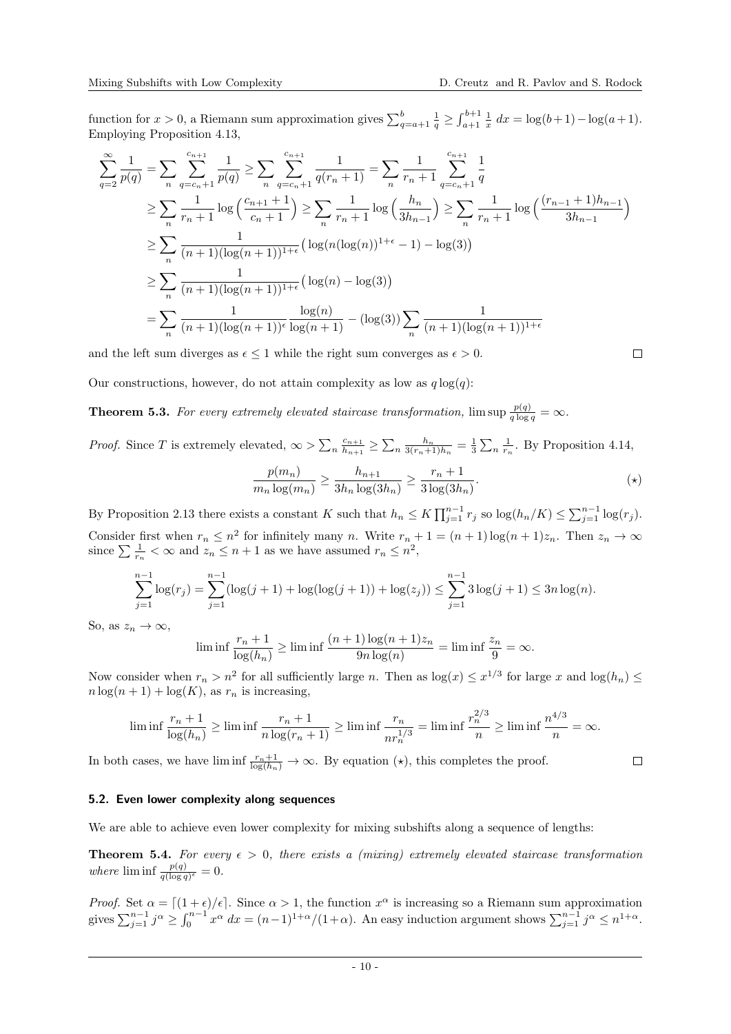$\Box$ 

function for  $x > 0$ , a Riemann sum approximation gives  $\sum_{q=a+1}^{b} \frac{1}{q} \geq \int_{a+1}^{b+1} \frac{1}{x} dx = \log(b+1) - \log(a+1)$ . Employing Proposition [4.13,](#page-7-5)

$$
\sum_{q=2}^{\infty} \frac{1}{p(q)} = \sum_{n} \sum_{q=c_n+1}^{c_{n+1}} \frac{1}{p(q)} \ge \sum_{n} \sum_{q=c_n+1}^{c_{n+1}} \frac{1}{q(r_n+1)} = \sum_{n} \frac{1}{r_n+1} \sum_{q=c_n+1}^{c_{n+1}} \frac{1}{q}
$$
\n
$$
\ge \sum_{n} \frac{1}{r_n+1} \log \left( \frac{c_{n+1}+1}{c_n+1} \right) \ge \sum_{n} \frac{1}{r_n+1} \log \left( \frac{h_n}{3h_{n-1}} \right) \ge \sum_{n} \frac{1}{r_n+1} \log \left( \frac{(r_{n-1}+1)h_{n-1}}{3h_{n-1}} \right)
$$
\n
$$
\ge \sum_{n} \frac{1}{(n+1)(\log(n+1))^{1+\epsilon}} \left( \log(n(\log(n))^{1+\epsilon} - 1) - \log(3) \right)
$$
\n
$$
\ge \sum_{n} \frac{1}{(n+1)(\log(n+1))^{1+\epsilon}} \left( \log(n) - \log(3) \right)
$$
\n
$$
= \sum_{n} \frac{1}{(n+1)(\log(n+1))^{1+\epsilon}} \frac{\log(n)}{\log(n+1)} - (\log(3)) \sum_{n} \frac{1}{(n+1)(\log(n+1))^{1+\epsilon}}
$$

and the left sum diverges as  $\epsilon \leq 1$  while the right sum converges as  $\epsilon > 0$ .

Our constructions, however, do not attain complexity as low as  $q \log(q)$ :

<span id="page-9-0"></span>**Theorem 5.3.** For every extremely elevated staircase transformation,  $\limsup \frac{p(q)}{q \log q} = \infty$ .

*Proof.* Since T is extremely elevated,  $\infty > \sum_{n} \frac{c_{n+1}}{h_{n+1}}$  $\frac{c_{n+1}}{h_{n+1}} \ge \sum_n \frac{h_n}{3(r_n+1)h_n} = \frac{1}{3} \sum_n \frac{1}{r_n}$ . By Proposition [4.14,](#page-7-6)

$$
\frac{p(m_n)}{m_n \log(m_n)} \ge \frac{h_{n+1}}{3h_n \log(3h_n)} \ge \frac{r_n + 1}{3 \log(3h_n)}.
$$
 (\*)

By Proposition [2.13](#page-3-0) there exists a constant K such that  $h_n \leq K \prod_{j=1}^{n-1} r_j$  so  $\log(h_n/K) \leq \sum_{j=1}^{n-1} \log(r_j)$ . Consider first when  $r_n \leq n^2$  for infinitely many n. Write  $r_n + 1 = (n + 1) \log(n + 1)z_n$ . Then  $z_n \to \infty$ since  $\sum \frac{1}{r_n} < \infty$  and  $z_n \leq n+1$  as we have assumed  $r_n \leq n^2$ ,

$$
\sum_{j=1}^{n-1} \log(r_j) = \sum_{j=1}^{n-1} (\log(j+1) + \log(\log(j+1)) + \log(z_j)) \le \sum_{j=1}^{n-1} 3\log(j+1) \le 3n \log(n).
$$

So, as  $z_n \to \infty$ ,

$$
\liminf \frac{r_n+1}{\log(h_n)} \ge \liminf \frac{(n+1)\log(n+1)z_n}{9n\log(n)} = \liminf \frac{z_n}{9} = \infty.
$$

Now consider when  $r_n > n^2$  for all sufficiently large n. Then as  $\log(x) \leq x^{1/3}$  for large x and  $\log(h_n) \leq$  $n \log(n + 1) + \log(K)$ , as  $r_n$  is increasing,

$$
\liminf \frac{r_n+1}{\log(h_n)} \ge \liminf \frac{r_n+1}{n \log(r_n+1)} \ge \liminf \frac{r_n}{nr_n^{1/3}} = \liminf \frac{r_n^{2/3}}{n} \ge \liminf \frac{n^{4/3}}{n} = \infty.
$$

In both cases, we have  $\liminf_{\log(h_n)} \to \infty$ . By equation  $(\star)$ , this completes the proof.

## 5.2. Even lower complexity along sequences

We are able to achieve even lower complexity for mixing subshifts along a sequence of lengths:

<span id="page-9-1"></span>**Theorem 5.4.** For every  $\epsilon > 0$ , there exists a (mixing) extremely elevated staircase transformation where  $\liminf \frac{p(q)}{q(\log q)^{\epsilon}} = 0.$ 

Proof. Set  $\alpha = \left[ (1 + \epsilon)/\epsilon \right]$ . Since  $\alpha > 1$ , the function  $x^{\alpha}$  is increasing so a Riemann sum approximation gives  $\sum_{j=1}^{n-1} j^{\alpha} \ge \int_0^{n-1} x^{\alpha} dx = (n-1)^{1+\alpha}/(1+\alpha)$ . An easy induction argument shows  $\sum_{j=1}^{n-1} j^{\alpha} \le n^{1+\alpha}$ .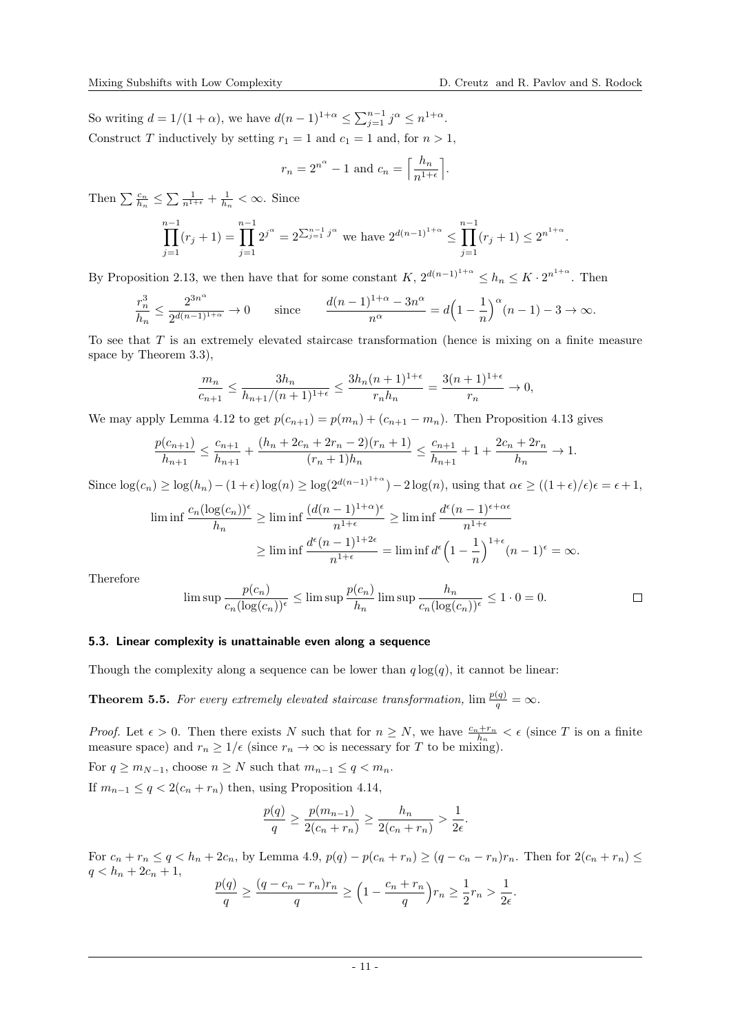So writing  $d = 1/(1 + \alpha)$ , we have  $d(n-1)^{1+\alpha} \le \sum_{j=1}^{n-1} j^{\alpha} \le n^{1+\alpha}$ . Construct T inductively by setting  $r_1 = 1$  and  $c_1 = 1$  and, for  $n > 1$ ,

$$
r_n = 2^{n^{\alpha}} - 1
$$
 and 
$$
c_n = \left\lceil \frac{h_n}{n^{1+\epsilon}} \right\rceil.
$$

Then  $\sum_{h_n} \frac{c_n}{h_n} \leq \sum_{n=1+\epsilon} \frac{1}{h_n} + \frac{1}{h_n} < \infty$ . Since

$$
\prod_{j=1}^{n-1} (r_j + 1) = \prod_{j=1}^{n-1} 2^{j^{\alpha}} = 2^{\sum_{j=1}^{n-1} j^{\alpha}}
$$
 we have  $2^{d(n-1)^{1+\alpha}} \le \prod_{j=1}^{n-1} (r_j + 1) \le 2^{n^{1+\alpha}}.$ 

By Proposition [2.13,](#page-3-0) we then have that for some constant  $K$ ,  $2^{d(n-1)^{1+\alpha}} \leq h_n \leq K \cdot 2^{n^{1+\alpha}}$ . Then

$$
\frac{r_n^3}{h_n}\leq \frac{2^{3n^{\alpha}}}{2^{d(n-1)^{1+\alpha}}}\rightarrow 0\qquad\text{since}\qquad \frac{d(n-1)^{1+\alpha}-3n^{\alpha}}{n^{\alpha}}=d\Big(1-\frac{1}{n}\Big)^{\alpha}(n-1)-3\rightarrow\infty.
$$

To see that T is an extremely elevated staircase transformation (hence is mixing on a finite measure space by Theorem [3.3\)](#page-5-0),

$$
\frac{m_n}{c_{n+1}} \le \frac{3h_n}{h_{n+1}/(n+1)^{1+\epsilon}} \le \frac{3h_n(n+1)^{1+\epsilon}}{r_n h_n} = \frac{3(n+1)^{1+\epsilon}}{r_n} \to 0,
$$

We may apply Lemma [4.12](#page-7-2) to get  $p(c_{n+1}) = p(m_n) + (c_{n+1} - m_n)$ . Then Proposition [4.13](#page-7-5) gives

$$
\frac{p(c_{n+1})}{h_{n+1}} \le \frac{c_{n+1}}{h_{n+1}} + \frac{(h_n + 2c_n + 2r_n - 2)(r_n + 1)}{(r_n + 1)h_n} \le \frac{c_{n+1}}{h_{n+1}} + 1 + \frac{2c_n + 2r_n}{h_n} \to 1.
$$

Since  $\log(c_n) \ge \log(h_n) - (1+\epsilon)\log(n) \ge \log(2^{d(n-1)^{1+\alpha}}) - 2\log(n)$ , using that  $\alpha \epsilon \ge ((1+\epsilon)/\epsilon)\epsilon = \epsilon + 1$ ,

$$
\liminf \frac{c_n(\log(c_n))^{\epsilon}}{h_n} \ge \liminf \frac{(d(n-1)^{1+\alpha})^{\epsilon}}{n^{1+\epsilon}} \ge \liminf \frac{d^{\epsilon}(n-1)^{\epsilon+\alpha\epsilon}}{n^{1+\epsilon}}
$$

$$
\ge \liminf \frac{d^{\epsilon}(n-1)^{1+2\epsilon}}{n^{1+\epsilon}} = \liminf d^{\epsilon}\left(1 - \frac{1}{n}\right)^{1+\epsilon}(n-1)^{\epsilon} = \infty.
$$

Therefore

$$
\limsup \frac{p(c_n)}{c_n(\log(c_n))^\epsilon} \le \limsup \frac{p(c_n)}{h_n} \limsup \frac{h_n}{c_n(\log(c_n))^\epsilon} \le 1 \cdot 0 = 0.
$$

#### 5.3. Linear complexity is unattainable even along a sequence

Though the complexity along a sequence can be lower than  $q \log(q)$ , it cannot be linear:

<span id="page-10-0"></span>**Theorem 5.5.** For every extremely elevated staircase transformation,  $\lim \frac{p(q)}{q} = \infty$ .

*Proof.* Let  $\epsilon > 0$ . Then there exists N such that for  $n \geq N$ , we have  $\frac{c_n+r_n}{h_n} < \epsilon$  (since T is on a finite measure space) and  $r_n \geq 1/\epsilon$  (since  $r_n \to \infty$  is necessary for T to be mixing).

For  $q \geq m_{N-1}$ , choose  $n \geq N$  such that  $m_{n-1} \leq q < m_n$ . If  $m_{n-1} \leq q < 2(c_n + r_n)$  then, using Proposition [4.14,](#page-7-6)

$$
\frac{p(q)}{q} \ge \frac{p(m_{n-1})}{2(c_n + r_n)} \ge \frac{h_n}{2(c_n + r_n)} > \frac{1}{2\epsilon}.
$$

For  $c_n + r_n \le q < h_n + 2c_n$ , by Lemma [4.9,](#page-7-4)  $p(q) - p(c_n + r_n) \ge (q - c_n - r_n)r_n$ . Then for  $2(c_n + r_n) \le$  $q < h_n + 2c_n + 1$ ,

$$
\frac{p(q)}{q} \ge \frac{(q - c_n - r_n)r_n}{q} \ge \left(1 - \frac{c_n + r_n}{q}\right)r_n \ge \frac{1}{2}r_n > \frac{1}{2\epsilon}
$$

.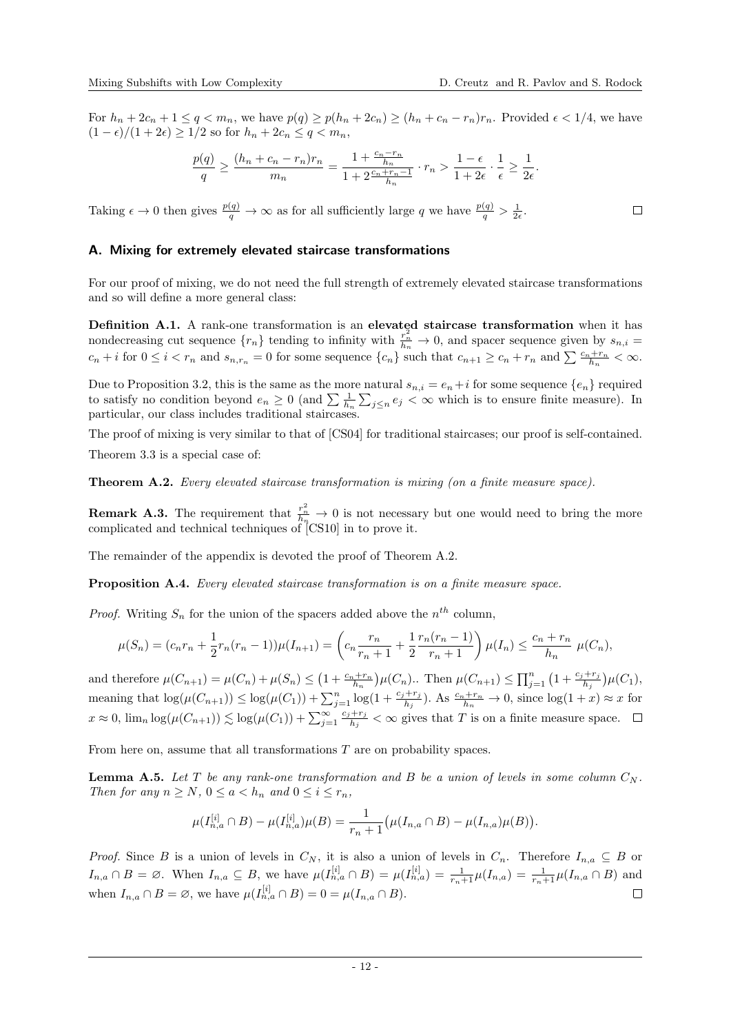For  $h_n + 2c_n + 1 \le q < m_n$ , we have  $p(q) \ge p(h_n + 2c_n) \ge (h_n + c_n - r_n)r_n$ . Provided  $\epsilon < 1/4$ , we have  $(1 - \epsilon)/(1 + 2\epsilon) \geq 1/2$  so for  $h_n + 2c_n \leq q < m_n$ ,

$$
\frac{p(q)}{q}\geq \frac{(h_n+c_n-r_n)r_n}{m_n}=\frac{1+\frac{c_n-r_n}{h_n}}{1+2\frac{c_n+r_n-1}{h_n}}\cdot r_n>\frac{1-\epsilon}{1+2\epsilon}\cdot\frac{1}{\epsilon}\geq \frac{1}{2\epsilon}.
$$

Taking  $\epsilon \to 0$  then gives  $\frac{p(q)}{q} \to \infty$  as for all sufficiently large q we have  $\frac{p(q)}{q} > \frac{1}{2\epsilon}$ .

## A. Mixing for extremely elevated staircase transformations

For our proof of mixing, we do not need the full strength of extremely elevated staircase transformations and so will define a more general class:

Definition A.1. A rank-one transformation is an elevated staircase transformation when it has nondecreasing cut sequence  $\{r_n\}$  tending to infinity with  $\frac{r_n^2}{h_n} \to 0$ , and spacer sequence given by  $s_{n,i} =$  $c_n + i$  for  $0 \leq i < r_n$  and  $s_{n,r_n} = 0$  for some sequence  $\{c_n\}$  such that  $c_{n+1} \geq c_n + r_n$  and  $\sum \frac{c_n + r_n}{h_n} < \infty$ .

Due to Proposition [3.2,](#page-4-0) this is the same as the more natural  $s_{n,i} = e_n + i$  for some sequence  $\{e_n\}$  required to satisfy no condition beyond  $e_n \geq 0$  (and  $\sum \frac{1}{h_n} \sum_{j \leq n} e_j < \infty$  which is to ensure finite measure). In particular, our class includes traditional staircases.

The proof of mixing is very similar to that of [\[CS04\]](#page-17-12) for traditional staircases; our proof is self-contained. Theorem [3.3](#page-5-0) is a special case of:

<span id="page-11-0"></span>Theorem A.2. Every elevated staircase transformation is mixing (on a finite measure space).

**Remark A.3.** The requirement that  $\frac{r_n^2}{h_n} \to 0$  is not necessary but one would need to bring the more complicated and technical techniques of [\[CS10\]](#page-17-13) in to prove it.

The remainder of the appendix is devoted the proof of Theorem [A.2.](#page-11-0)

<span id="page-11-2"></span>Proposition A.4. Every elevated staircase transformation is on a finite measure space.

*Proof.* Writing  $S_n$  for the union of the spacers added above the  $n^{th}$  column,

$$
\mu(S_n) = (c_n r_n + \frac{1}{2} r_n (r_n - 1)) \mu(I_{n+1}) = \left( c_n \frac{r_n}{r_n + 1} + \frac{1}{2} \frac{r_n (r_n - 1)}{r_n + 1} \right) \mu(I_n) \le \frac{c_n + r_n}{h_n} \mu(C_n),
$$

and therefore  $\mu(C_{n+1}) = \mu(C_n) + \mu(S_n) \leq (1 + \frac{c_n + r_n}{h_n})\mu(C_n)$ .. Then  $\mu(C_{n+1}) \leq \prod_{j=1}^{n} (1 + \frac{c_j + r_j}{h_j})\mu(C_1)$ , meaning that  $\log(\mu(C_{n+1})) \le \log(\mu(C_1)) + \sum_{j=1}^n \log(1 + \frac{c_j + r_j}{h_j}).$  As  $\frac{c_n + r_n}{h_n} \to 0$ , since  $\log(1 + x) \approx x$  for  $x \approx 0$ ,  $\lim_{n} \log(\mu(C_{n+1})) \lesssim \log(\mu(C_1)) + \sum_{j=1}^{\infty} \frac{c_j + r_j}{h_j}$  $\frac{+r_j}{h_j} < \infty$  gives that T is on a finite measure space.

From here on, assume that all transformations T are on probability spaces.

<span id="page-11-1"></span>**Lemma A.5.** Let T be any rank-one transformation and B be a union of levels in some column  $C_N$ . Then for any  $n \geq N$ ,  $0 \leq a < h_n$  and  $0 \leq i \leq r_n$ ,

$$
\mu(I_{n,a}^{[i]}\cap B)-\mu(I_{n,a}^{[i]})\mu(B)=\frac{1}{r_n+1}\big(\mu(I_{n,a}\cap B)-\mu(I_{n,a})\mu(B)\big).
$$

*Proof.* Since B is a union of levels in  $C_N$ , it is also a union of levels in  $C_n$ . Therefore  $I_{n,a} \subseteq B$  or  $I_{n,a} \cap B = \emptyset$ . When  $I_{n,a} \subseteq B$ , we have  $\mu(I_{n,a}^{[i]} \cap B) = \mu(I_{n,a}^{[i]}) = \frac{1}{r_n+1}\mu(I_{n,a}) = \frac{1}{r_n+1}\mu(I_{n,a} \cap B)$  and when  $I_{n,a} \cap B = \emptyset$ , we have  $\mu(I_{n,a}^{[i]} \cap B) = 0 = \mu(I_{n,a} \cap B)$ .  $\Box$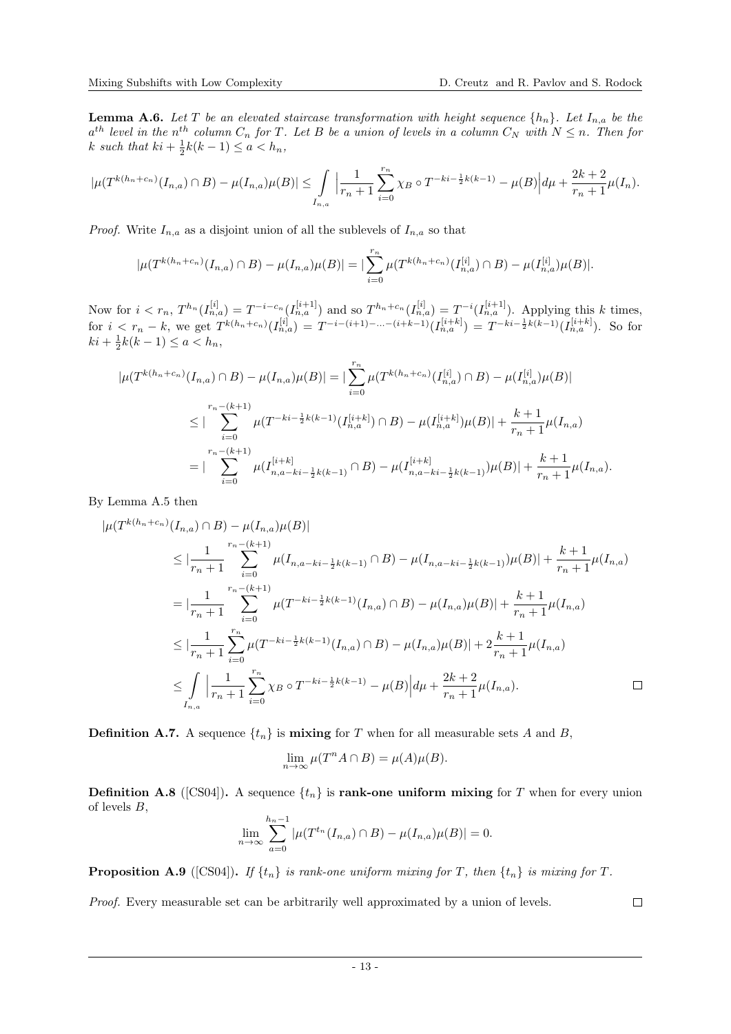<span id="page-12-0"></span>**Lemma A.6.** Let T be an elevated staircase transformation with height sequence  $\{h_n\}$ . Let  $I_{n,a}$  be the  $a^{th}$  level in the n<sup>th</sup> column  $C_n$  for T. Let B be a union of levels in a column  $C_N$  with  $N \leq n$ . Then for k such that  $ki + \frac{1}{2}k(k-1) \leq a < h_n$ ,

$$
|\mu(T^{k(h_n+c_n)}(I_{n,a}) \cap B) - \mu(I_{n,a})\mu(B)| \leq \int_{I_{n,a}} \left| \frac{1}{r_n+1} \sum_{i=0}^{r_n} \chi_B \circ T^{-ki-\frac{1}{2}k(k-1)} - \mu(B) \right| d\mu + \frac{2k+2}{r_n+1} \mu(I_n).
$$

*Proof.* Write  $I_{n,a}$  as a disjoint union of all the sublevels of  $I_{n,a}$  so that

$$
|\mu(T^{k(h_n+c_n)}(I_{n,a}) \cap B) - \mu(I_{n,a})\mu(B)| = |\sum_{i=0}^{r_n} \mu(T^{k(h_n+c_n)}(I_{n,a}^{[i]}) \cap B) - \mu(I_{n,a}^{[i]})\mu(B)|.
$$

Now for  $i < r_n$ ,  $T^{h_n}(I_{n,a}^{[i]}) = T^{-i-c_n}(I_{n,a}^{[i+1]})$  and so  $T^{h_n+c_n}(I_{n,a}^{[i]}) = T^{-i}(I_{n,a}^{[i+1]})$ . Applying this k times, for  $i < r_n - k$ , we get  $T^{k(h_n + c_n)}(I_{n,a}^{[i]}) = T^{-i-(i+1)-...-(i+k-1)}(I_{n,a}^{[i+k]}) = T^{-ki-\frac{1}{2}k(k-1)}(I_{n,a}^{[i+k]}).$  So for  $ki + \frac{1}{2}k(k-1) \le a < h_n,$ 

$$
|\mu(T^{k(h_n+c_n)}(I_{n,a}) \cap B) - \mu(I_{n,a})\mu(B)| = |\sum_{i=0}^{r_n} \mu(T^{k(h_n+c_n)}(I_{n,a}^{[i]}) \cap B) - \mu(I_{n,a}^{[i]})\mu(B)|
$$
  

$$
\leq |\sum_{i=0}^{r_n - (k+1)} \mu(T^{-ki - \frac{1}{2}k(k-1)}(I_{n,a}^{[i+k]}) \cap B) - \mu(I_{n,a}^{[i+k]})\mu(B)| + \frac{k+1}{r_n + 1} \mu(I_{n,a})
$$
  

$$
= |\sum_{i=0}^{r_n - (k+1)} \mu(I_{n,a-ki - \frac{1}{2}k(k-1)}^{[i+k]} \cap B) - \mu(I_{n,a-ki - \frac{1}{2}k(k-1)}^{[i+k]})\mu(B)| + \frac{k+1}{r_n + 1} \mu(I_{n,a}).
$$

By Lemma [A.5](#page-11-1) then

$$
\begin{split}\n|\mu(T^{k(h_n+c_n)}(I_{n,a}) \cap B) - \mu(I_{n,a})\mu(B)| \\
&\leq |\frac{1}{r_n+1} \sum_{i=0}^{r_n-(k+1)} \mu(I_{n,a-ki-\frac{1}{2}k(k-1)} \cap B) - \mu(I_{n,a-ki-\frac{1}{2}k(k-1)})\mu(B)| + \frac{k+1}{r_n+1} \mu(I_{n,a}) \\
&= |\frac{1}{r_n+1} \sum_{i=0}^{r_n-(k+1)} \mu(T^{-ki-\frac{1}{2}k(k-1)}(I_{n,a}) \cap B) - \mu(I_{n,a})\mu(B)| + \frac{k+1}{r_n+1} \mu(I_{n,a}) \\
&\leq |\frac{1}{r_n+1} \sum_{i=0}^{r_n} \mu(T^{-ki-\frac{1}{2}k(k-1)}(I_{n,a}) \cap B) - \mu(I_{n,a})\mu(B)| + 2\frac{k+1}{r_n+1} \mu(I_{n,a}) \\
&\leq \int_{I_{n,a}} |\frac{1}{r_n+1} \sum_{i=0}^{r_n} \chi_B \circ T^{-ki-\frac{1}{2}k(k-1)} - \mu(B)| d\mu + \frac{2k+2}{r_n+1} \mu(I_{n,a}).\n\end{split}
$$

**Definition A.7.** A sequence  $\{t_n\}$  is **mixing** for T when for all measurable sets A and B,

$$
\lim_{n \to \infty} \mu(T^n A \cap B) = \mu(A)\mu(B).
$$

**Definition A.8** ([\[CS04\]](#page-17-12)). A sequence  $\{t_n\}$  is **rank-one uniform mixing** for T when for every union of levels B,

$$
\lim_{n \to \infty} \sum_{a=0}^{h_n - 1} |\mu(T^{t_n}(I_{n,a}) \cap B) - \mu(I_{n,a})\mu(B)| = 0.
$$

<span id="page-12-1"></span>**Proposition A.9** ([\[CS04\]](#page-17-12)). If  $\{t_n\}$  is rank-one uniform mixing for T, then  $\{t_n\}$  is mixing for T.

Proof. Every measurable set can be arbitrarily well approximated by a union of levels.

 $\Box$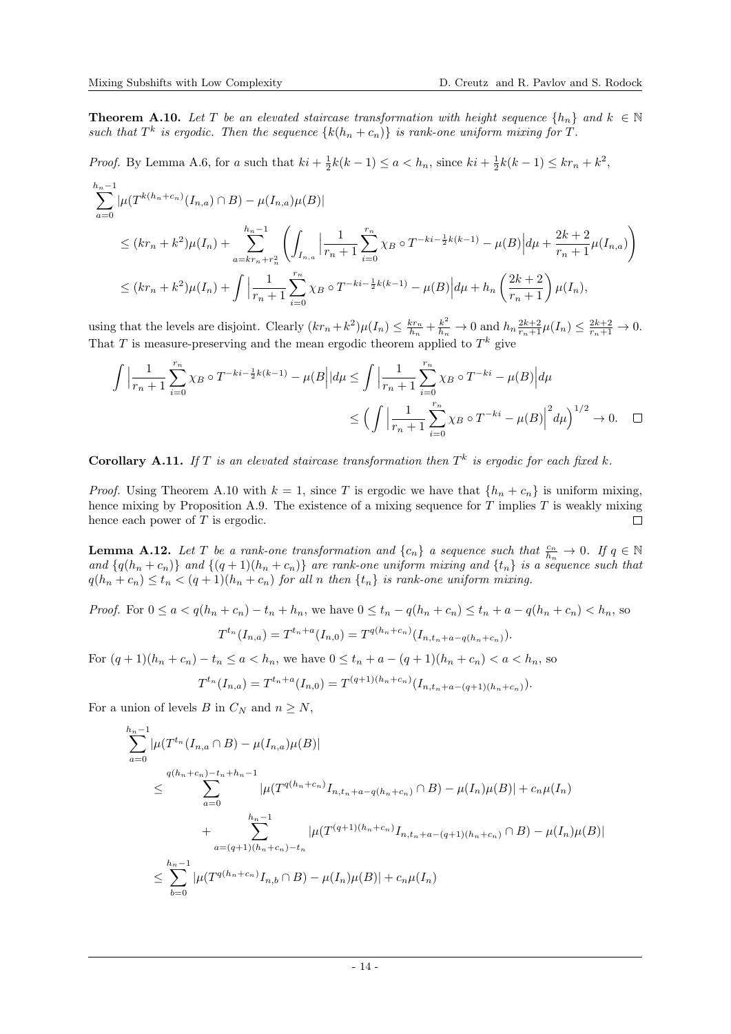<span id="page-13-0"></span>**Theorem A.10.** Let T be an elevated staircase transformation with height sequence  $\{h_n\}$  and  $k \in \mathbb{N}$ such that  $T^k$  is ergodic. Then the sequence  $\{k(h_n + c_n)\}\$ is rank-one uniform mixing for T.

*Proof.* By Lemma [A.6,](#page-12-0) for a such that  $ki + \frac{1}{2}k(k-1) \le a < h_n$ , since  $ki + \frac{1}{2}k(k-1) \le kr_n + k^2$ ,  $\mathbf{r}$ 

$$
\sum_{a=0}^{h_n-1} |\mu(T^{k(h_n+c_n)}(I_{n,a}) \cap B) - \mu(I_{n,a})\mu(B)|
$$
\n
$$
\leq (kr_n + k^2)\mu(I_n) + \sum_{a=kr_n+r_n^2}^{h_n-1} \left( \int_{I_{n,a}} \left| \frac{1}{r_n+1} \sum_{i=0}^{r_n} \chi_B \circ T^{-ki-\frac{1}{2}k(k-1)} - \mu(B) \right| d\mu + \frac{2k+2}{r_n+1} \mu(I_{n,a}) \right)
$$
\n
$$
\leq (kr_n + k^2)\mu(I_n) + \int \left| \frac{1}{r_n+1} \sum_{i=0}^{r_n} \chi_B \circ T^{-ki-\frac{1}{2}k(k-1)} - \mu(B) \right| d\mu + h_n \left( \frac{2k+2}{r_n+1} \right) \mu(I_n),
$$

using that the levels are disjoint. Clearly  $(kr_n + k^2)\mu(I_n) \leq \frac{k r_n}{h_n} + \frac{k^2}{h_n} \to 0$  and  $h_n \frac{2k+2}{r_n+1}\mu(I_n) \leq \frac{2k+2}{r_n+1} \to 0$ . That T is measure-preserving and the mean ergodic theorem applied to  $T^k$  give

$$
\int \left| \frac{1}{r_n + 1} \sum_{i=0}^{r_n} \chi_B \circ T^{-ki - \frac{1}{2}k(k-1)} - \mu(B \mid d\mu \le \int \left| \frac{1}{r_n + 1} \sum_{i=0}^{r_n} \chi_B \circ T^{-ki} - \mu(B) \right| d\mu \right|
$$
  

$$
\le \left( \int \left| \frac{1}{r_n + 1} \sum_{i=0}^{r_n} \chi_B \circ T^{-ki} - \mu(B) \right|^2 d\mu \right)^{1/2} \to 0. \quad \Box
$$

<span id="page-13-2"></span>**Corollary A.11.** If T is an elevated staircase transformation then  $T^k$  is ergodic for each fixed k.

*Proof.* Using Theorem [A.10](#page-13-0) with  $k = 1$ , since T is ergodic we have that  $\{h_n + c_n\}$  is uniform mixing, hence mixing by Proposition [A.9.](#page-12-1) The existence of a mixing sequence for  $T$  implies  $T$  is weakly mixing hence each power of  $T$  is ergodic.  $\Box$ 

<span id="page-13-1"></span>**Lemma A.12.** Let T be a rank-one transformation and  $\{c_n\}$  a sequence such that  $\frac{c_n}{h_n} \to 0$ . If  $q \in \mathbb{N}$ and  $\{q(h_n+c_n)\}\$  and  $\{(q+1)(h_n+c_n)\}\$  are rank-one uniform mixing and  $\{t_n\}\$ is a sequence such that  $q(h_n + c_n) \leq t_n < (q+1)(h_n + c_n)$  for all n then  $\{t_n\}$  is rank-one uniform mixing.

*Proof.* For  $0 \le a < q(h_n + c_n) - t_n + h_n$ , we have  $0 \le t_n - q(h_n + c_n) \le t_n + a - q(h_n + c_n) < h_n$ , so

$$
T^{t_n}(I_{n,a}) = T^{t_n+a}(I_{n,0}) = T^{q(h_n+c_n)}(I_{n,t_n+a-q(h_n+c_n)}).
$$

For  $(q + 1)(h_n + c_n) - t_n \le a < h_n$ , we have  $0 \le t_n + a - (q + 1)(h_n + c_n) < a < h_n$ , so

$$
T^{t_n}(I_{n,a}) = T^{t_n+a}(I_{n,0}) = T^{(q+1)(h_n+c_n)}(I_{n,t_n+a-(q+1)(h_n+c_n)}).
$$

For a union of levels B in  $C_N$  and  $n \geq N$ ,

$$
\sum_{a=0}^{h_n-1} |\mu(T^{t_n}(I_{n,a} \cap B) - \mu(I_{n,a})\mu(B)|
$$
\n
$$
\leq \sum_{a=0}^{q(h_n+c_n)-t_n+h_n-1} |\mu(T^{q(h_n+c_n)}I_{n,t_n+a-q(h_n+c_n)} \cap B) - \mu(I_n)\mu(B)| + c_n\mu(I_n)
$$
\n
$$
+ \sum_{a=(q+1)(h_n+c_n)-t_n}^{h_n-1} |\mu(T^{(q+1)(h_n+c_n)}I_{n,t_n+a-(q+1)(h_n+c_n)} \cap B) - \mu(I_n)\mu(B)|
$$
\n
$$
\leq \sum_{b=0}^{h_n-1} |\mu(T^{q(h_n+c_n)}I_{n,b} \cap B) - \mu(I_n)\mu(B)| + c_n\mu(I_n)
$$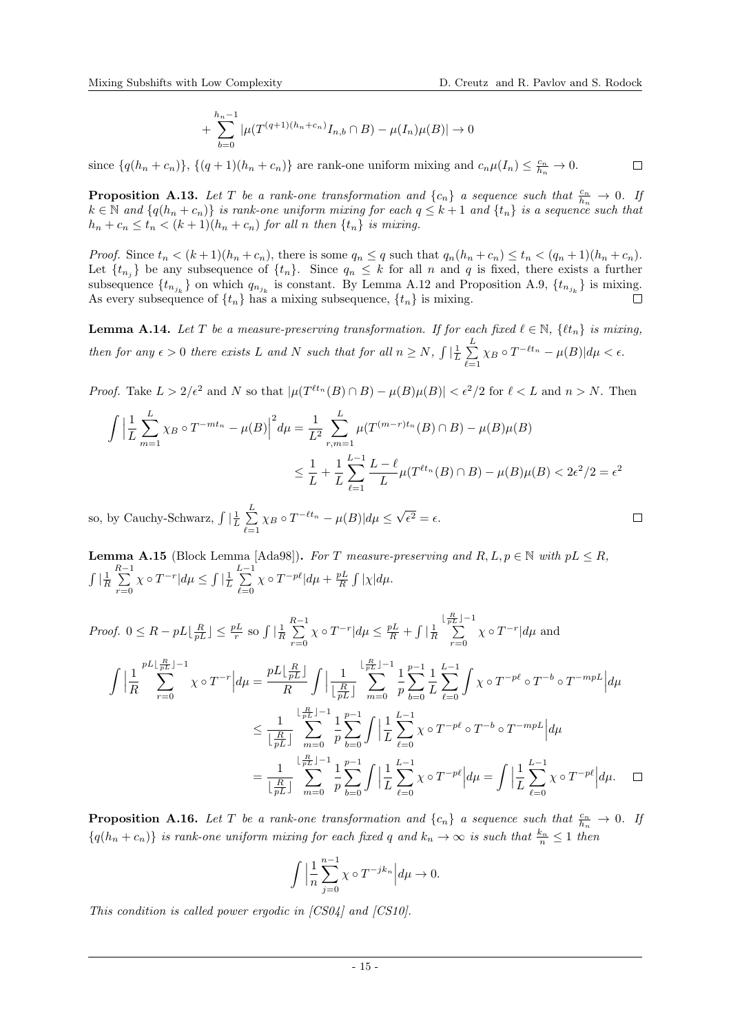$$
+\sum_{b=0}^{h_n-1} |\mu(T^{(q+1)(h_n+c_n)}I_{n,b}\cap B) - \mu(I_n)\mu(B)| \to 0
$$

since  $\{q(h_n + c_n)\}, \{(q+1)(h_n + c_n)\}\)$  are rank-one uniform mixing and  $c_n\mu(I_n) \leq \frac{c_n}{h_n} \to 0$ .  $\Box$ 

<span id="page-14-0"></span>**Proposition A.13.** Let T be a rank-one transformation and  $\{c_n\}$  a sequence such that  $\frac{c_n}{h_n} \to 0$ . If  $k \in \mathbb{N}$  and  $\{q(h_n + c_n)\}\$ is rank-one uniform mixing for each  $q \leq k+1$  and  $\{t_n\}$  is a sequence such that  $h_n + c_n \leq t_n < (k+1)(h_n + c_n)$  for all n then  $\{t_n\}$  is mixing.

*Proof.* Since  $t_n < (k+1)(h_n + c_n)$ , there is some  $q_n \leq q$  such that  $q_n(h_n + c_n) \leq t_n < (q_n + 1)(h_n + c_n)$ . Let  $\{t_{n_j}\}\$ be any subsequence of  $\{t_n\}$ . Since  $q_n \leq k$  for all n and q is fixed, there exists a further subsequence  $\{t_{n_{j_k}}\}$  on which  $q_{n_{j_k}}$  is constant. By Lemma [A.12](#page-13-1) and Proposition [A.9,](#page-12-1)  $\{t_{n_{j_k}}\}$  is mixing. As every subsequence of  $\{t_n\}$  has a mixing subsequence,  $\{t_n\}$  is mixing.  $\Box$ 

<span id="page-14-1"></span>**Lemma A.14.** Let T be a measure-preserving transformation. If for each fixed  $\ell \in \mathbb{N}$ ,  $\{t_n\}$  is mixing, then for any  $\epsilon > 0$  there exists L and N such that for all  $n \ge N$ ,  $\int \left| \frac{1}{L} \sum_{n=1}^{L} \right|$  $\sum_{\ell=1} \chi_B \circ T^{-\ell t_n} - \mu(B)| d\mu < \epsilon.$ 

*Proof.* Take  $L > 2/\epsilon^2$  and N so that  $|\mu(T^{\ell t_n}(B) \cap B) - \mu(B)\mu(B)| < \epsilon^2/2$  for  $\ell < L$  and  $n > N$ . Then

$$
\int \left| \frac{1}{L} \sum_{m=1}^{L} \chi_B \circ T^{-mt_n} - \mu(B) \right|^2 d\mu = \frac{1}{L^2} \sum_{r,m=1}^{L} \mu(T^{(m-r)t_n}(B) \cap B) - \mu(B)\mu(B)
$$
  

$$
\leq \frac{1}{L} + \frac{1}{L} \sum_{\ell=1}^{L-1} \frac{L - \ell}{L} \mu(T^{\ell t_n}(B) \cap B) - \mu(B)\mu(B) < 2\epsilon^2/2 = \epsilon^2
$$

so, by Cauchy-Schwarz,  $\int \left| \frac{1}{L} \right| \sum_{n=1}^{L}$  $\sum_{\ell=1}^L \chi_B \circ T^{-\ell t_n} - \mu(B)| d\mu \leq \sqrt{\frac{2}{L}}$  $\epsilon^2=\epsilon.$ 

<span id="page-14-2"></span>**Lemma A.15** (Block Lemma [\[Ada98\]](#page-16-0)). For T measure-preserving and  $R, L, p \in \mathbb{N}$  with  $pL \leq R$ ,  $\int \left| \frac{1}{R} \right|$  $\sum_{ }^{R-1}$  $\sum_{r=0}^{\infty} \chi \circ T^{-r} | d\mu \leq \int |\frac{1}{L}$  $\sum_{i=1}^{L-1}$  $_{\ell=0}$  $\chi \circ T^{-p\ell} | d\mu + \frac{pL}{R} \int |\chi| d\mu.$ 

Proof. 
$$
0 \leq R - pL\left[\frac{R}{pL}\right] \leq \frac{pL}{r}
$$
 so  $\int \left|\frac{R}{R}\right| \leq \frac{R}{r-0} \chi \circ T^{-r} |d\mu \leq \frac{pL}{R} + \int \left|\frac{1}{R}\right| \sum_{r=0}^{\left[\frac{R}{pL}\right]-1} \chi \circ T^{-r} |d\mu$  and  
\n
$$
\int \left|\frac{1}{R}\sum_{r=0}^{pL\left[\frac{R}{pL}\right]-1} \chi \circ T^{-r} |d\mu = \frac{pL\left[\frac{R}{pL}\right]}{R} \int \left|\frac{1}{\left[\frac{R}{pL}\right]} \sum_{m=0}^{\left[\frac{R}{pL}\right]-1} \frac{1}{p} \sum_{b=0}^{p-1} \frac{1}{L} \sum_{\ell=0}^{L-1} \int \chi \circ T^{-p\ell} \circ T^{-b} \circ T^{-mpL} |d\mu \right.
$$
\n
$$
\leq \frac{1}{\left[\frac{R}{pL}\right]} \sum_{m=0}^{\left[\frac{R}{pL}\right]-1} \sum_{p=0}^{p-1} \int \left|\frac{1}{L}\sum_{\ell=0}^{L-1} \chi \circ T^{-p\ell} \circ T^{-b} \circ T^{-mpL} |d\mu \right.
$$
\n
$$
= \frac{1}{\left[\frac{R}{pL}\right]} \sum_{m=0}^{\left[\frac{R}{pL}\right]-1} \frac{1}{p} \sum_{b=0}^{p-1} \int \left|\frac{1}{L}\sum_{\ell=0}^{L-1} \chi \circ T^{-p\ell} |d\mu = \int \left|\frac{1}{L}\sum_{\ell=0}^{L-1} \chi \circ T^{-p\ell} |d\mu. \quad \Box
$$

<span id="page-14-3"></span>**Proposition A.16.** Let T be a rank-one transformation and  $\{c_n\}$  a sequence such that  $\frac{c_n}{h_n} \to 0$ . If  ${q(h_n + c_n)}$  is rank-one uniform mixing for each fixed q and  $k_n \to \infty$  is such that  $\frac{k_n}{n} \leq 1$  then

$$
\int \Big| \frac{1}{n} \sum_{j=0}^{n-1} \chi \circ T^{-jk_n} \Big| d\mu \to 0.
$$

This condition is called power ergodic in [\[CS04\]](#page-17-12) and [\[CS10\]](#page-17-13).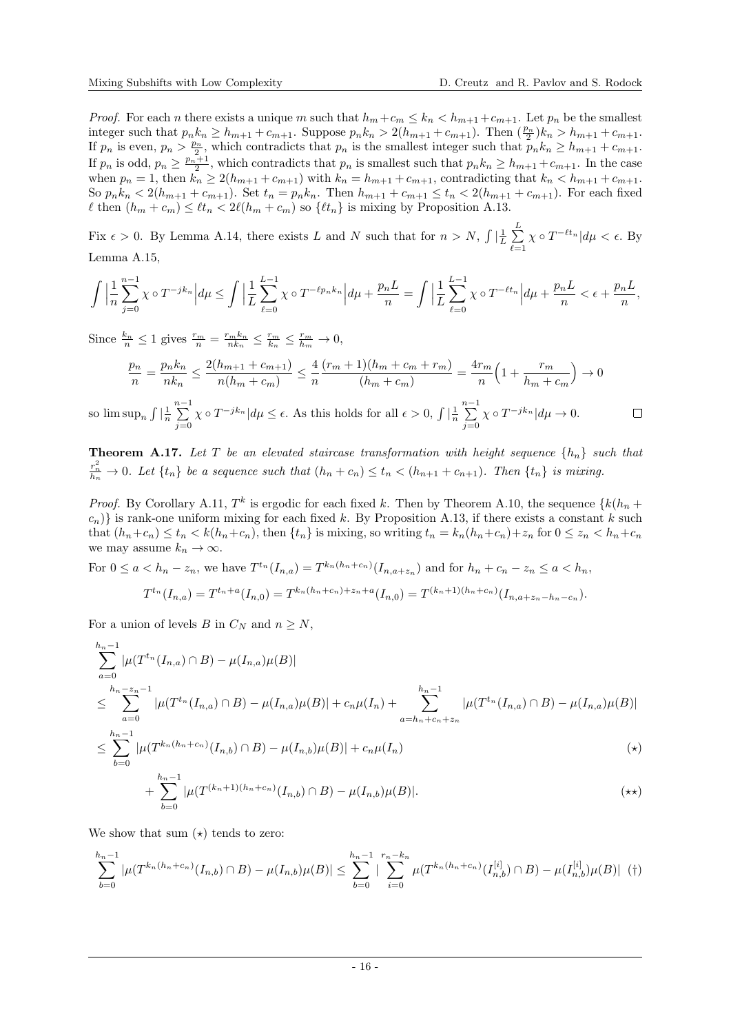*Proof.* For each n there exists a unique m such that  $h_m + c_m \leq k_n < h_{m+1} + c_{m+1}$ . Let  $p_n$  be the smallest integer such that  $p_n k_n \geq h_{m+1} + c_{m+1}$ . Suppose  $p_n k_n > 2(h_{m+1} + c_{m+1})$ . Then  $(\frac{p_n}{2})k_n > h_{m+1} + c_{m+1}$ . If  $p_n$  is even,  $p_n > \frac{p_n}{2}$ , which contradicts that  $p_n$  is the smallest integer such that  $p_n k_n \geq h_{m+1} + c_{m+1}$ . If  $p_n$  is odd,  $p_n \geq \frac{p_n+1}{2}$ , which contradicts that  $p_n$  is smallest such that  $p_n k_n \geq h_{m+1} + c_{m+1}$ . In the case when  $p_n = 1$ , then  $k_n \ge 2(h_{m+1} + c_{m+1})$  with  $k_n = h_{m+1} + c_{m+1}$ , contradicting that  $k_n < h_{m+1} + c_{m+1}$ . So  $p_n k_n < 2(h_{m+1} + c_{m+1})$ . Set  $t_n = p_n k_n$ . Then  $h_{m+1} + c_{m+1} \le t_n < 2(h_{m+1} + c_{m+1})$ . For each fixed  $\ell$  then  $(h_m + c_m) \leq \ell t_n < 2\ell(h_m + c_m)$  so  $\{\ell t_n\}$  is mixing by Proposition [A.13.](#page-14-0)

Fix  $\epsilon > 0$ . By Lemma [A.14,](#page-14-1) there exists L and N such that for  $n > N$ ,  $\int \left|\frac{1}{L}\right| \sum_{n=1}^{L}$  $\ell=1$  $\chi \circ T^{-\ell t_n} | d\mu < \epsilon$ . By Lemma [A.15,](#page-14-2)

$$
\int \Big|\frac{1}{n}\sum_{j=0}^{n-1} \chi \circ T^{-jk_n}\Big| d\mu \le \int \Big|\frac{1}{L}\sum_{\ell=0}^{L-1} \chi \circ T^{-\ell p_n k_n}\Big| d\mu + \frac{p_n L}{n} = \int \Big|\frac{1}{L}\sum_{\ell=0}^{L-1} \chi \circ T^{-\ell t_n}\Big| d\mu + \frac{p_n L}{n} < \epsilon + \frac{p_n L}{n},
$$

Since  $\frac{k_n}{n} \leq 1$  gives  $\frac{r_m}{n} = \frac{r_m k_n}{nk_n} \leq \frac{r_m}{k_n} \leq \frac{r_m}{h_m} \to 0$ ,

$$
\frac{p_n}{n} = \frac{p_n k_n}{nk_n} \le \frac{2(h_{m+1} + c_{m+1})}{n(h_m + c_m)} \le \frac{4}{n} \frac{(r_m + 1)(h_m + c_m + r_m)}{(h_m + c_m)} = \frac{4r_m}{n} \left(1 + \frac{r_m}{h_m + c_m}\right) \to 0
$$

so  $\limsup_n \int \left|\frac{1}{n}\sum_{n=1}^{n-1}\right|$  $\chi \circ T^{-jk_n} | d\mu \leq \epsilon$ . As this holds for all  $\epsilon > 0$ ,  $\int \left| \frac{1}{n} \sum_{n=1}^{n-1} \right|$  $\chi \circ T^{-jk_n} | d\mu \to 0.$  $\Box$  $j=0$  $j=0$ 

<span id="page-15-0"></span>**Theorem A.17.** Let T be an elevated staircase transformation with height sequence  $\{h_n\}$  such that  $\frac{r_n^2}{h_n} \to 0$ . Let  $\{t_n\}$  be a sequence such that  $(h_n + c_n) \le t_n < (h_{n+1} + c_{n+1})$ . Then  $\{t_n\}$  is mixing.

*Proof.* By Corollary [A.11,](#page-13-2)  $T^k$  is ergodic for each fixed k. Then by Theorem [A.10,](#page-13-0) the sequence  $\{k(h_n +$  $(c_n)$  is rank-one uniform mixing for each fixed k. By Proposition [A.13,](#page-14-0) if there exists a constant k such that  $(h_n+c_n) \le t_n < k(h_n+c_n)$ , then  $\{t_n\}$  is mixing, so writing  $t_n = k_n(h_n+c_n)+z_n$  for  $0 \le z_n < h_n+c_n$ we may assume  $k_n \to \infty$ .

For  $0 \le a < h_n - z_n$ , we have  $T^{t_n}(I_{n,a}) = T^{k_n(h_n+c_n)}(I_{n,a+z_n})$  and for  $h_n + c_n - z_n \le a < h_n$ ,

$$
T^{t_n}(I_{n,a}) = T^{t_n+a}(I_{n,0}) = T^{k_n(h_n+c_n)+z_n+a}(I_{n,0}) = T^{(k_n+1)(h_n+c_n)}(I_{n,a+z_n-h_n-c_n}).
$$

For a union of levels B in  $C_N$  and  $n \geq N$ ,

$$
\sum_{a=0}^{h_n-1} |\mu(T^{t_n}(I_{n,a}) \cap B) - \mu(I_{n,a})\mu(B)|
$$
\n
$$
\leq \sum_{a=0}^{h_n-2n-1} |\mu(T^{t_n}(I_{n,a}) \cap B) - \mu(I_{n,a})\mu(B)| + c_n\mu(I_n) + \sum_{a=h_n+c_n+z_n}^{h_n-1} |\mu(T^{t_n}(I_{n,a}) \cap B) - \mu(I_{n,a})\mu(B)|
$$
\n
$$
\leq \sum_{b=0}^{h_n-1} |\mu(T^{k_n(h_n+c_n)}(I_{n,b}) \cap B) - \mu(I_{n,b})\mu(B)| + c_n\mu(I_n)
$$
\n(\*)

$$
+\sum_{b=0}^{h_n-1} |\mu(T^{(k_n+1)(h_n+c_n)}(I_{n,b}) \cap B) - \mu(I_{n,b})\mu(B)|.
$$
 (\*\*)

We show that sum  $(\star)$  tends to zero:

$$
\sum_{b=0}^{h_n-1} |\mu(T^{k_n(h_n+c_n)}(I_{n,b}) \cap B) - \mu(I_{n,b})\mu(B)| \le \sum_{b=0}^{h_n-1} |\sum_{i=0}^{r_n-k_n} \mu(T^{k_n(h_n+c_n)}(I_{n,b}^{[i]}) \cap B) - \mu(I_{n,b}^{[i]})\mu(B)| \quad (†)
$$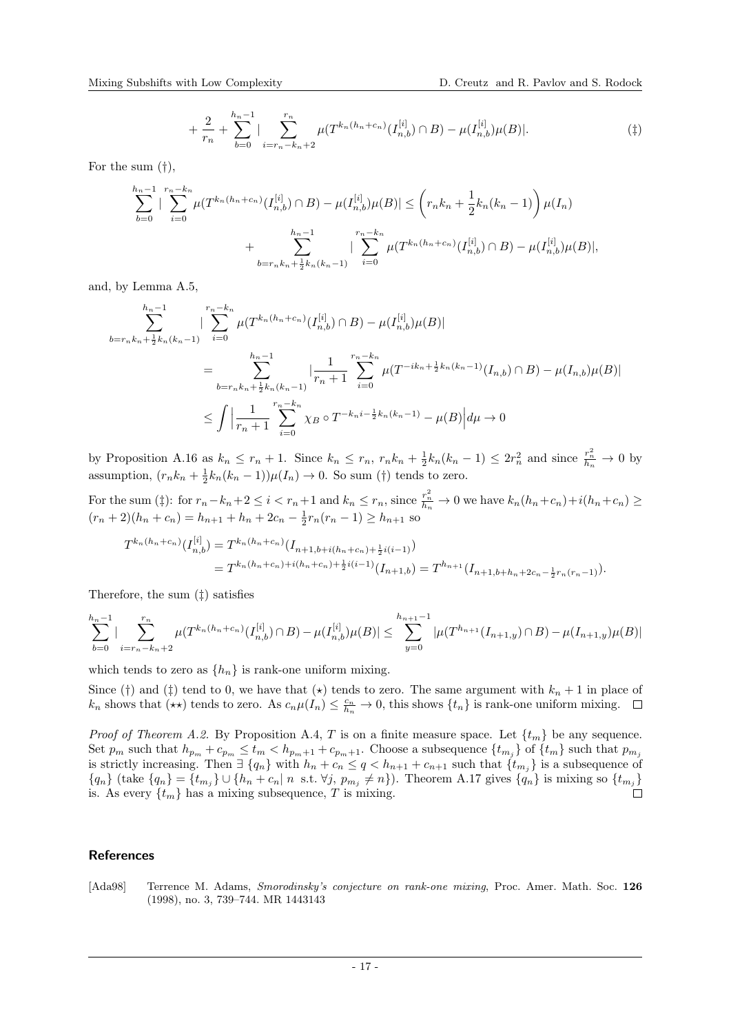$$
+\frac{2}{r_n} + \sum_{b=0}^{h_n-1} |\sum_{i=r_n-k_n+2}^{r_n} \mu(T^{k_n(h_n+c_n)}(I_{n,b}^{[i]}) \cap B) - \mu(I_{n,b}^{[i]})\mu(B)|. \tag{1}
$$

For the sum (†),

$$
\sum_{b=0}^{h_n-1} |\sum_{i=0}^{r_n-k_n} \mu(T^{k_n(h_n+c_n)}(I_{n,b}^{[i]}) \cap B) - \mu(I_{n,b}^{[i]})\mu(B)| \le (r_n k_n + \frac{1}{2} k_n (k_n - 1)) \mu(I_n) + \sum_{b=r_n k_n + \frac{1}{2}k_n (k_n - 1)}^{h_n - 1} |\sum_{i=0}^{r_n - k_n} \mu(T^{k_n(h_n+c_n)}(I_{n,b}^{[i]}) \cap B) - \mu(I_{n,b}^{[i]})\mu(B)|,
$$

and, by Lemma [A.5,](#page-11-1)

$$
\sum_{b=r_n k_n + \frac{1}{2}k_n(k_n-1)}^{k_n-1} \left| \sum_{i=0}^{r_n - k_n} \mu(T^{k_n(h_n + c_n)}(I_{n,b}^{[i]}) \cap B) - \mu(I_{n,b}^{[i]})\mu(B) \right|
$$
  

$$
= \sum_{b=r_n k_n + \frac{1}{2}k_n(k_n-1)}^{k_n-1} \left| \frac{1}{r_n+1} \sum_{i=0}^{r_n - k_n} \mu(T^{-ik_n + \frac{1}{2}k_n(k_n-1)}(I_{n,b}) \cap B) - \mu(I_{n,b})\mu(B) \right|
$$
  

$$
\leq \int \left| \frac{1}{r_n+1} \sum_{i=0}^{r_n - k_n} \chi_B \circ T^{-k_n i - \frac{1}{2}k_n(k_n - 1)} - \mu(B) \right| d\mu \to 0
$$

by Proposition [A.16](#page-14-3) as  $k_n \leq r_n + 1$ . Since  $k_n \leq r_n$ ,  $r_n k_n + \frac{1}{2} k_n (k_n - 1) \leq 2r_n^2$  and since  $\frac{r_n^2}{h_n} \to 0$  by assumption,  $(r_n k_n + \frac{1}{2} k_n (k_n - 1)) \mu(I_n) \to 0$ . So sum (†) tends to zero.

For the sum (‡): for  $r_n - k_n + 2 \le i < r_n + 1$  and  $k_n \le r_n$ , since  $\frac{r_n^2}{h_n} \to 0$  we have  $k_n(h_n + c_n) + i(h_n + c_n) \ge$  $(r_n + 2)(h_n + c_n) = h_{n+1} + h_n + 2c_n - \frac{1}{2}r_n(r_n - 1) \ge h_{n+1}$  so

$$
T^{k_n(h_n+c_n)}(I_{n,b}^{[i]}) = T^{k_n(h_n+c_n)}(I_{n+1,b+i(h_n+c_n)+\frac{1}{2}i(i-1)})
$$
  
= 
$$
T^{k_n(h_n+c_n)+i(h_n+c_n)+\frac{1}{2}i(i-1)}(I_{n+1,b}) = T^{h_{n+1}}(I_{n+1,b+h_n+2c_n-\frac{1}{2}r_n(r_n-1)}).
$$

Therefore, the sum (‡) satisfies

$$
\sum_{b=0}^{h_n-1} |\sum_{i=r_n-k_n+2}^{r_n} \mu(T^{k_n(h_n+c_n)}(I_{n,b}^{[i]}) \cap B) - \mu(I_{n,b}^{[i]})\mu(B)| \le \sum_{y=0}^{h_{n+1}-1} |\mu(T^{h_{n+1}}(I_{n+1,y}) \cap B) - \mu(I_{n+1,y})\mu(B)|
$$

which tends to zero as  $\{h_n\}$  is rank-one uniform mixing.

Since (†) and (‡) tend to 0, we have that  $(\star)$  tends to zero. The same argument with  $k_n + 1$  in place of  $k_n$  shows that  $(\star \star)$  tends to zero. As  $c_n \mu(I_n) \leq \frac{c_n}{h_n} \to 0$ , this shows  $\{t_n\}$  is rank-one uniform mixing.

*Proof of Theorem [A.2.](#page-11-0)* By Proposition [A.4,](#page-11-2) T is on a finite measure space. Let  $\{t_m\}$  be any sequence. Set  $p_m$  such that  $h_{p_m} + c_{p_m} \leq t_m < h_{p_m+1} + c_{p_m+1}$ . Choose a subsequence  $\{t_{m_j}\}$  of  $\{t_m\}$  such that  $p_{m_j}$ is strictly increasing. Then  $\exists \{q_n\}$  with  $h_n + c_n \leq q < h_{n+1} + c_{n+1}$  such that  $\{t_{m_j}\}$  is a subsequence of  ${q_n}$  (take  ${q_n} = {t_{m_j}} \cup {h_n + c_n | n \text{ s.t. } \forall j, p_{m_j} \neq n}$ ). Theorem [A.17](#page-15-0) gives  ${q_n}$  is mixing so  ${t_{m_j}}$ is. As every  $\{t_m\}$  has a mixing subsequence, T is mixing.  $\Box$ 

## References

<span id="page-16-0"></span>[Ada98] Terrence M. Adams, Smorodinsky's conjecture on rank-one mixing, Proc. Amer. Math. Soc. 126 (1998), no. 3, 739–744. MR 1443143